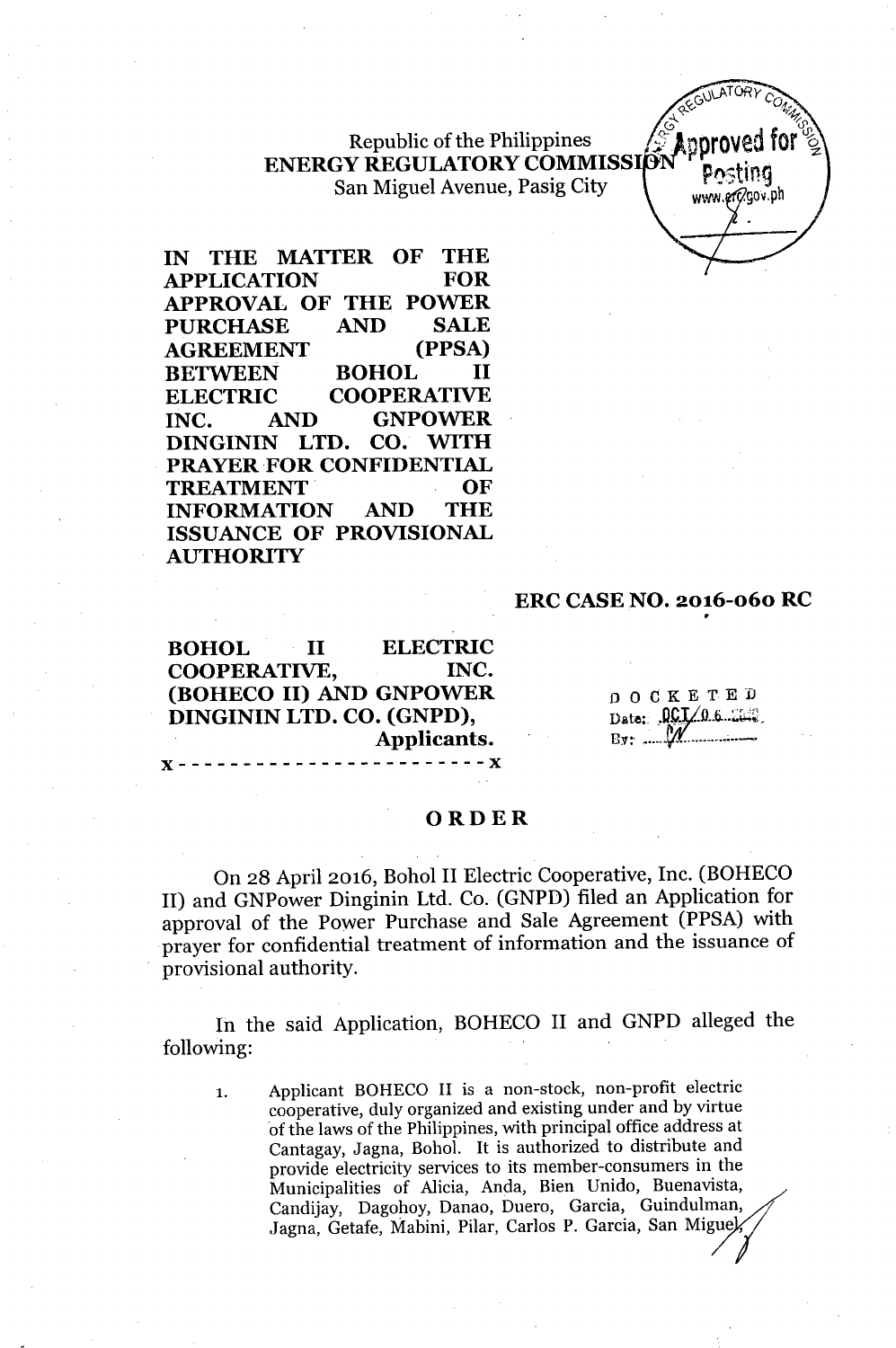Republic of the Philippines<br>ENERGY REGULATORY COMMISSION<br>San Miguel Avenue, Pasig City San Miguel Avenue, Pasig City

www.erc/gov.ph

**IN THE MATTER OF THE APPLICATION FOR APPROVAL OF THE POWER PURCHASE AND SALE AGREEMENT (PPSA) BETWEEN BOHOL II ELECTRIC COOPERATIVE INC. AND GNPOWER DINGININ LTD. CO. WITH** PRAYER FOR **CONFIDENTIAL TREATMENT. OF INFORMATION AND THE ISSUANCE OF PROVISIONAL AUTHORITY**

#### **ERC CASE NO. 2016-060 RC**

**BOHOL II ELECTRIC COOPERATIVE, INC. (BOHECO II) AND GNPOWER DINGININ LTD. CO. (GNPD), Applicants.**  $- - x$ 

x------------------------x

DOCKETED Date:  $\mathfrak{LCI}/\mathfrak{0}$  6.26.0. Rv: *Ifr. ,..\_.*

#### **ORDER**

On 28 April 2016, Bohol II Electric Cooperative, Inc. (BOHECO II) and GNPower Dinginin Ltd. Co. (GNPD) filed an Application for approval of the Power Purchase and Sale Agreement (PPSA) with prayer for confidential treatment of information and the issuance of provisional authority.

In the said Application, BOHECO II and GNPD alleged the following:

1. Applicant BOHECO II is a non-stock, non-profit electric cooperative, duly organized and existing under and by virtue of the laws of the Philippines, with principal office address at Cantagay, Jagna, Bohol. It is authorized to distribute and provide electricity services to its member-consumers in the Municipalities of Alicia, Anda, Bien Unido, Buenavista, Candijay, Dagohoy, Danao, Duero, Garcia, Guindulman, Jagna, Getafe, Mabini, Pilar, Carlos P. Garcia, San Miguel,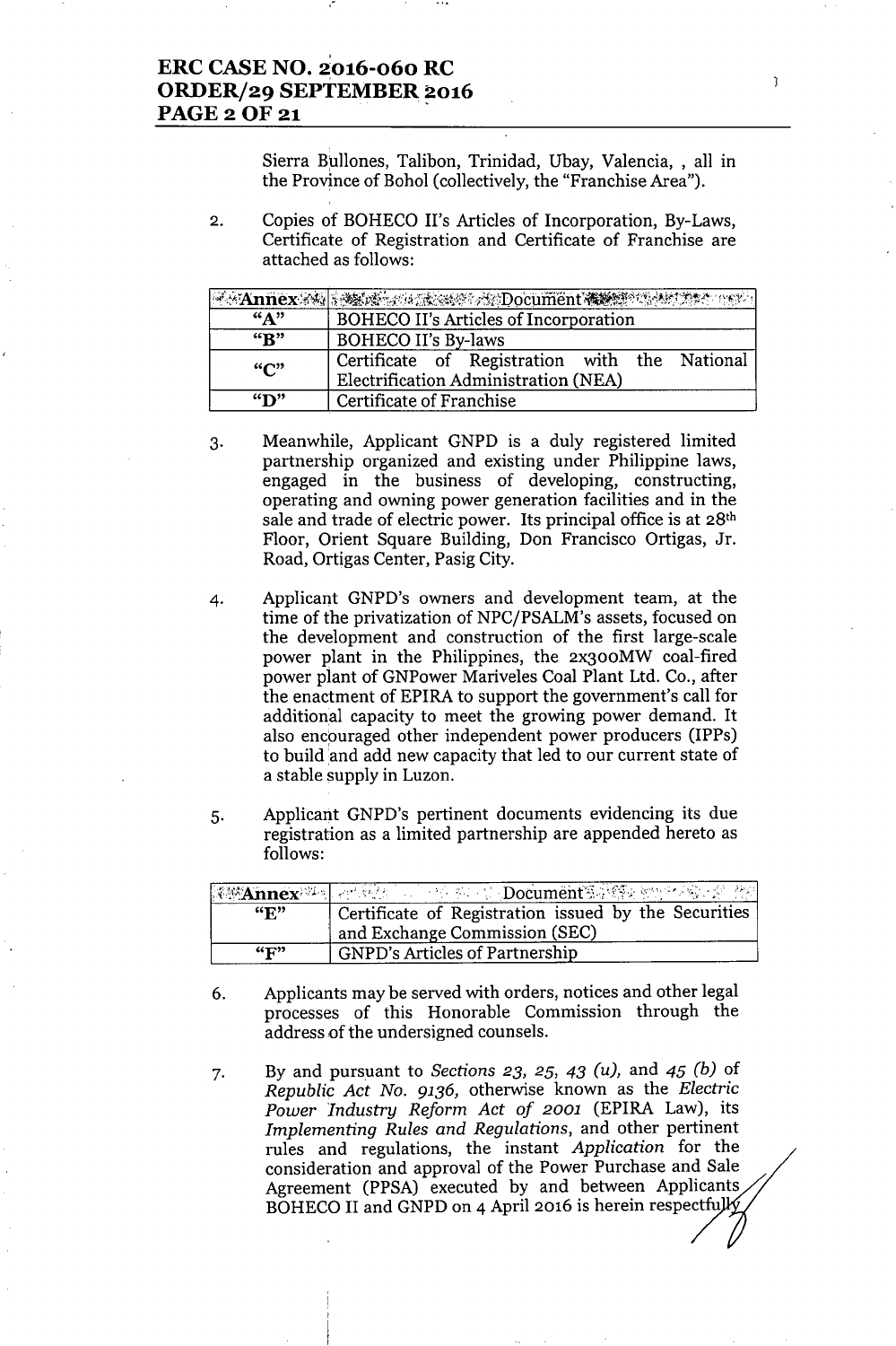,-

Sierra Bullones, Talibon, Trinidad, Ubay, Valencia, , all in the Province of Bohol (collectively, the "Franchise Area").

 $\mathbf{R}$ 

2. Copies of BOHECO II's Articles of Incorporation, By-Laws, Certificate of Registration and Certificate of Franchise are attached as follows:

|                             | <b>FAINTEX 24 ASSESSMENT Document Service Antibox</b>                                 |
|-----------------------------|---------------------------------------------------------------------------------------|
| $A$ <sup>39</sup>           | BOHECO II's Articles of Incorporation                                                 |
| $\mathbf{R}^n$              | <b>BOHECO II's By-laws</b>                                                            |
| $\mathbf{G}^{\prime\prime}$ | Certificate of Registration with the National<br>Electrification Administration (NEA) |
| $\mathbf{w}$                | Certificate of Franchise                                                              |

- 3. Meanwhile, Applicant GNPD is a duly registered limited partnership organized and existing under Philippine laws, engaged in the business of developing, constructing, operating and owning power generation facilities and in the sale and trade of electric power. Its principal office is at 28<sup>th</sup> Floor, Orient Square Building, Don Francisco Ortigas, Jr. Road, Ortigas Center, Pasig City.
- 4. Applicant GNPD's owners and development team, at the time of the privatization of NPC/PSALM's assets, focused on the development and construction of the first large-scale power plant in the Philippines, the 2x300MW coal-fired power plant of GNPower Mariveles Coal Plant Ltd. Co., after the enactment of EPIRA to support the government's call for additional capacity to meet the growing power demand. It also encpuraged other independent power producers (IPPs) to build and add new capacity that led to our current state of a stable supply in Luzon.
- 5. Applicant GNPD's pertinent documents evidencing its due registration as a limited partnership are appended hereto as follows:

| $\mathbf{G}$ $\mathbf{F}$           | Certificate of Registration issued by the Securities, |
|-------------------------------------|-------------------------------------------------------|
|                                     | and Exchange Commission (SEC)                         |
| $\left(\mathbf{C}\mathbf{D}\right)$ | <b>GNPD's Articles of Partnership</b>                 |

- 6. Applicants may be served with orders, notices and other legal processes of this Honorable Commission through the address of the undersigned counsels.
- 7. By and pursuant to *Sections* 23, 25, 43 *(u),* and 45 *(b)* of *Republic Act No.* 9136, otherwise known as the *Electric Power Industry Reform Act of 2001* (EPIRA Law), its *Implementing Rules and Regulations,* and other pertinent rules and regulations, the instant *Application* for the consideration and approval of the Power Purchase and Sale Agreement (PPSA) executed by and between Applicants BOHECO II and GNPD on 4 April 2016 is herein respectfully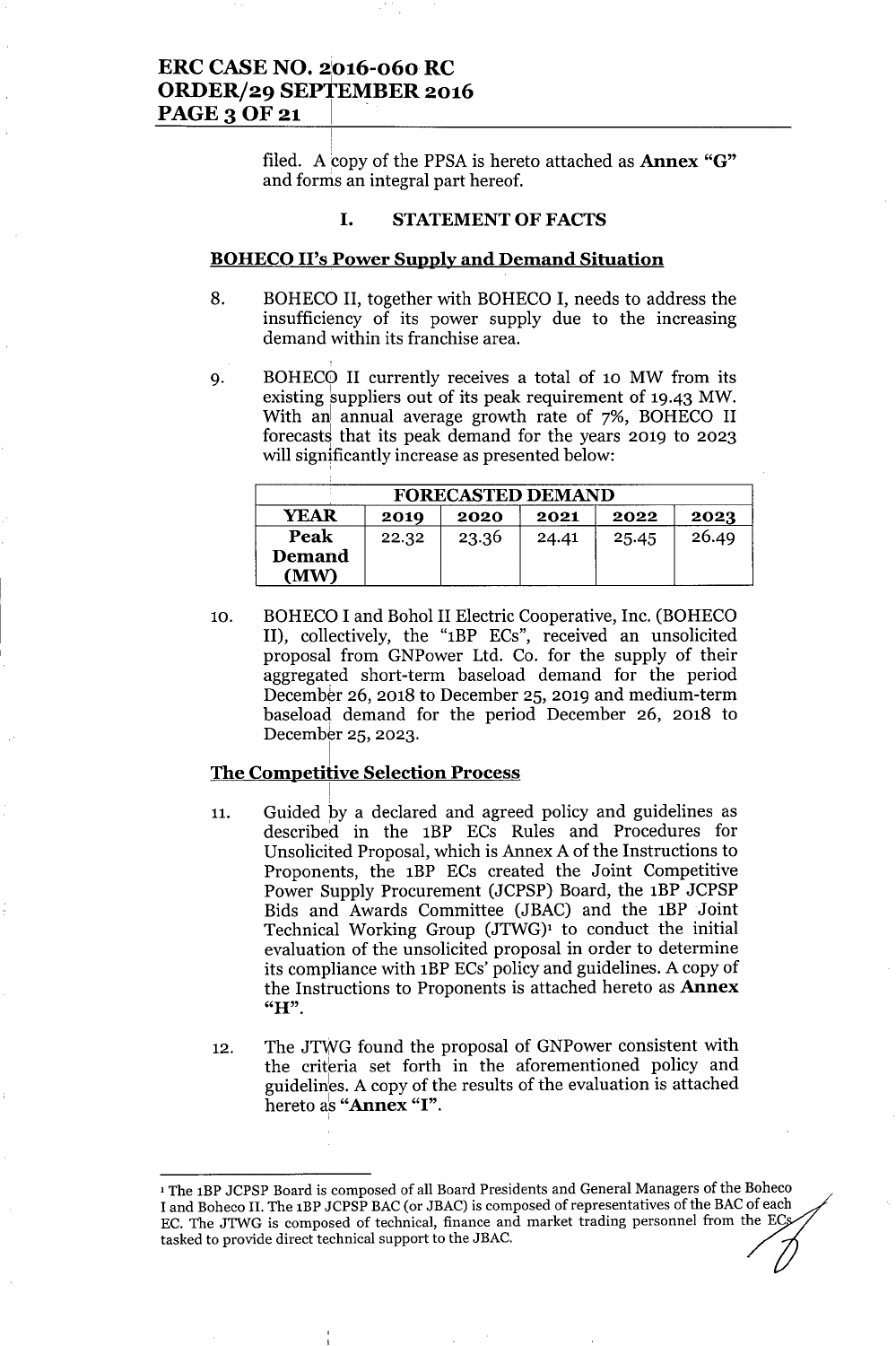## ERC CASE NO. 2'016-060 RC <sup>I</sup> ORDER/29 SEPTEMBER 2016 PAGE 3 OF 21

filed. A copy of the PPSA is hereto attached as **Annex** " $G$ " and forms an integral part hereof.

### I. STATEMENTOF FACTS

#### BOHECO II's Power Supply and Demand Situation

- 8. BOHECO II, together with BOHECO I, needs to address the insufficiency of its power supply due to the increasing demand within its franchise area.
- 9. BOHEC0 II currently receives a total of 10 MW from its existing suppliers out of its peak requirement of 19.43 MW. With an annual average growth rate of 7%, BOHECO II forecasts that its peak demand for the years 2019 to 2023 will significantly increase as presented below:

| <b>FORECASTED DEMAND</b>                            |       |       |       |       |       |  |
|-----------------------------------------------------|-------|-------|-------|-------|-------|--|
| <b>YEAR</b><br>2022<br>2021<br>2020<br>2019<br>2023 |       |       |       |       |       |  |
| Peak                                                | 22.32 | 23.36 | 24.41 | 25.45 | 26.49 |  |
| Demand<br>(MW)                                      |       |       |       |       |       |  |

10. BOHECO I and Bohol II Electric Cooperative, Inc. (BOHECO II), collectively, the "lBP ECs", received an unsolicited proposal from GNPower Ltd. Co. for the supply of their aggregated short-term baseload demand for the period December 26, 2018 to December 25, 2019 and medium-term baseload demand for the period December 26, 2018 to December 25, 2023.

#### The Competitive Selection Process

- 11. Guided by a declared and agreed policy and guidelines as described in the 1BP ECs Rules and Procedures for Unsolicited Proposal, which is Annex A of the Instructions to Proponents, the 1BP ECs created the Joint Competitive Power Supply Procurement (JCPSP) Board, the 1BP JCPSP Bids and Awards Committee (JBAC) and the 1BP Joint Technical Working Group  $(JTWG)^1$  to conduct the initial evaluation of the unsolicited proposal in order to determine its compliance with 1BPECs' policy and guidelines. A copy of the Instructions to Proponents is attached hereto as Annex "H".
- 12. The JTWG found the proposal of GNPower consistent with the criteria set forth in the aforementioned policy and guidelines. A copy of the results of the evaluation is attached hereto as "Annex "I".

<sup>1</sup> The IBP JCPSP Board is composed of all Board Presidents and General Managers of the Boheco I and Boheco II. The 1BP JCPSP BAC (or JBAC) is composed of representatives of the BAC of each EC. The JTWG is composed of technical, finance and market trading personnel from the EC tasked to provide direct technical support to the JBAC.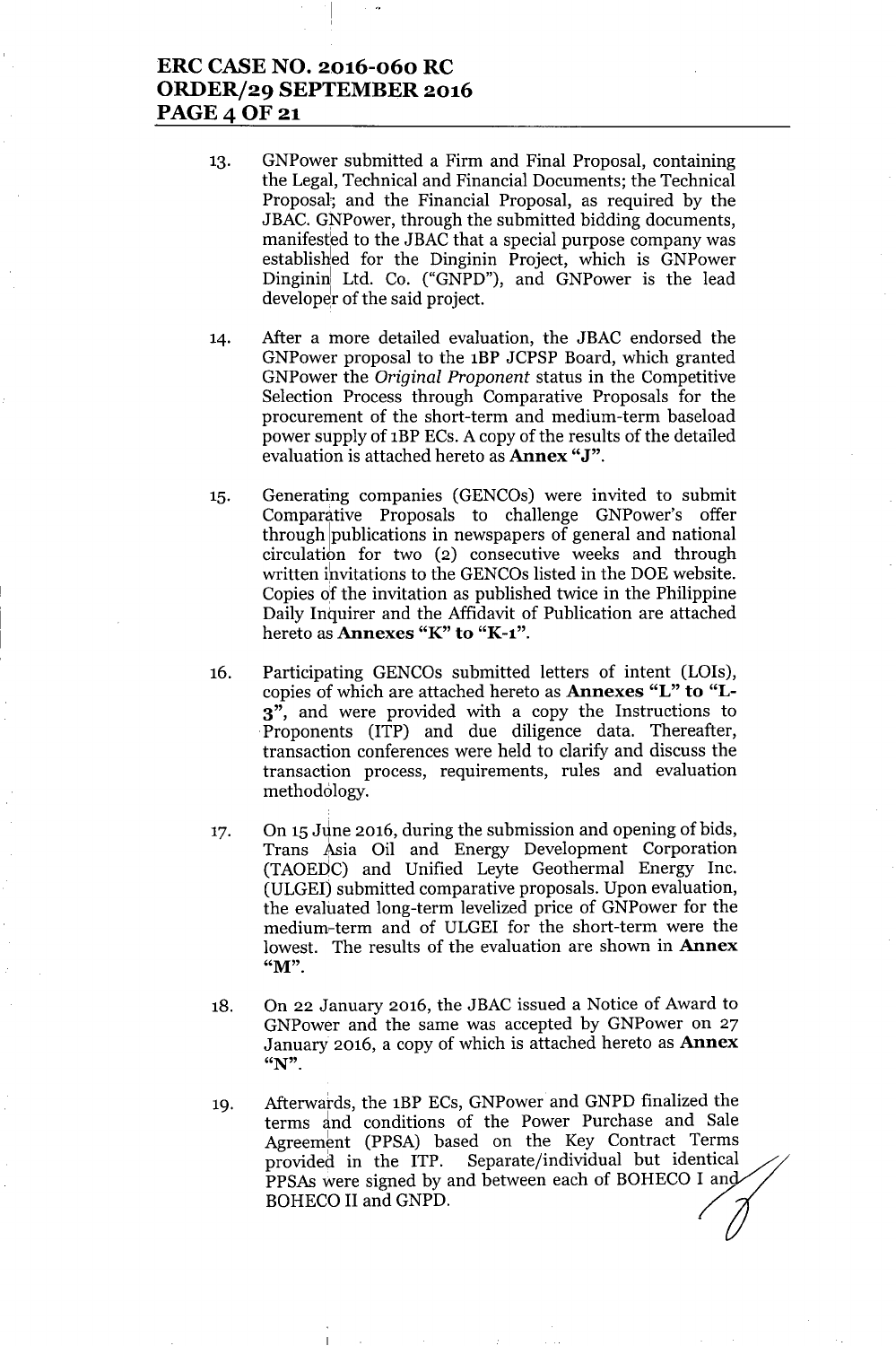## **ERC CASE NO. 2016-060 RC ORDER/29 SEPTEMBER 2016** PAGE 4 OF 21

- 13. GNPower submitted a Firm and Final Proposal, containing the Legal, Technical and Financial Documents; the Technical Proposal; and the Financial Proposal, as required by the JBAC. GNPower, through the submitted bidding documents, manifested to the JBAC that a special purpose company was established for the Dinginin Project, which is GNPower Dinginini Ltd. Co. ("GNPD"), and GNPower is the lead developer of the said project.
- 14. After a more detailed evaluation, the JBAC endorsed the GNPower proposal to the 1BP JCPSP Board, which granted GNPower the *Original Proponent* status in the Competitive Selection Process through Comparative Proposals for the procurement of the short-term and medium-term baseload power supply of 1BPECs. A copy of the results of the detailed evaluation is attached hereto as **Annex** "J".
- 15. Generating companies (GENCOs) were invited to submit Comparative Proposals to challenge GNPower's offer through publications in newspapers of general and national circulation for two (2) consecutive weeks and through written invitations to the GENCOs listed in the DOE website. Copies of the invitation as published twice in the Philippine Daily Inquirer and the Affidavit of Publication are attached hereto as **Annexes** "K" **to** "K-l".
- 16. Participating GENCOs submitted letters of intent (LOIs), copies of which are attached hereto as **Annexes** "L" **to "L-**3", and were provided with a copy the Instructions to .Proponents (ITP) and due diligence data. Thereafter, transaction conferences were held to clarify and discuss the transaction process, requirements, rules and evaluation methodology.
- 17. On 15 June 2016, during the submission and opening of bids, Trans Asia Oil and Energy Development Corporation (TAOEDC) and Unified Leyte Geothermal Energy Inc. (ULGEI) submitted comparative proposals. Upon evaluation, the evaluated long-term levelized price of GNPower for the medium-term and of ULGEI for the short-term were the lowest. The results of the evaluation are shown in **Annex** "M".
- 18. On 22 January 2016, the JBAC issued a Notice of Award to GNPower and the same was accepted by GNPower on 27 January 2016, a copy of which is attached hereto as **Annex** "N".
- 19. Afterwatds, the 1BP ECs, GNPower and GNPD finalized the terms and conditions of the Power Purchase and Sale Agreement (PPSA) based on the Key Contract Terms provided in the ITP. Separate/individual but identical PPSAs were signed by and between each of BOHECO I an BOHECO II and GNPD.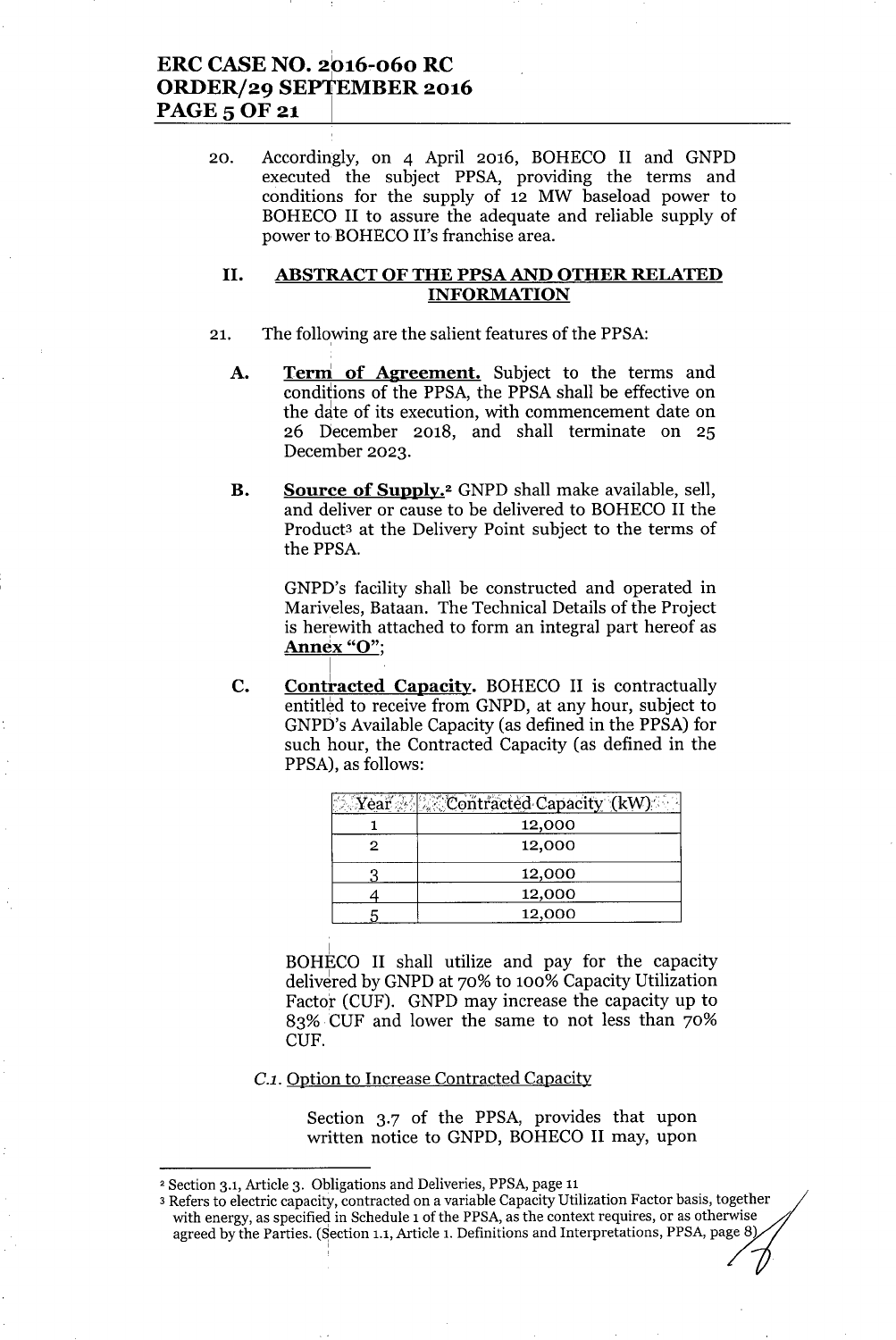### **ERC CASE NO.** 2016-060 **RC ORDER/29 SEPTEMBER 2016** PAGES OF 21 **<sup>I</sup>**

20. Accordingly, on 4 April 2016, BOHECO II and GNPD executed the subject PPSA, providing the terms and conditions for the supply of 12 MW baseload power to BOHECO II to assure the adequate and reliable supply of power to BOHECO II's franchise area.

### **II. ABSTRACT OF THE PPSA AND OTHER RELATED INFORMATION**

- 21. The following are the salient features of the PPSA:
	- **A. Term' of Agreement.** Subject to the terms and conditions of the PPSA, the PPSA shall be effective on the date of its execution, with commencement date on 26 December 2018, and shall terminate on 25 December 2023.
	- **B. Source of Supply.2**GNPD shall make available, sell, and deliver or cause to be delivered to BOHECO II the Product3 at the Delivery Point subject to the terms of the PPSA.

GNPD's facility shall be constructed and operated in Mariveles, Bataan. The Technical Details of the Project is herewith attached to form an integral part hereof as **Annex** "0";

**C.** Contracted Capacity. BOHECO II is contractually entitled to receive from GNPD, at any hour, subject to GNPI)'s Available Capacity (as defined in the PPSA) for such hour, the Contracted Capacity (as defined in the PPSA), as follows:

| ⊱. Yea | <b>AContracted Capacity (kW)</b> |
|--------|----------------------------------|
|        | 12,000                           |
| 2      | 12,000                           |
|        | 12,000                           |
|        | 12,000                           |
|        | 12,000                           |

! BOHECO II shall utilize and pay for the capacity delivered by GNPD at 70% to 100% Capacity Utilization Factor (CUF). GNPD may increase the capacity up to 83% CUF and lower the same to not less than 70% CUF.

#### *C.l.* Option to Increase Contracted Capacity

Section 3.7 of the PPSA, provides that upon written notice to GNPD, BOHECO II may, upon

<sup>2</sup> Section 3.1, Article 3. Obligations and Deliveries, PPSA, page 11

<sup>3</sup> Refers to electric capacity, contracted on a variable Capacity Utilization Factor basis, together with energy, as specified in Schedule 1 of the PPSA, as the context requires, or as otherwise agreed by the Parties. (Section 1.1, Article 1. Definitions and Interpretations, PPSA, page 8)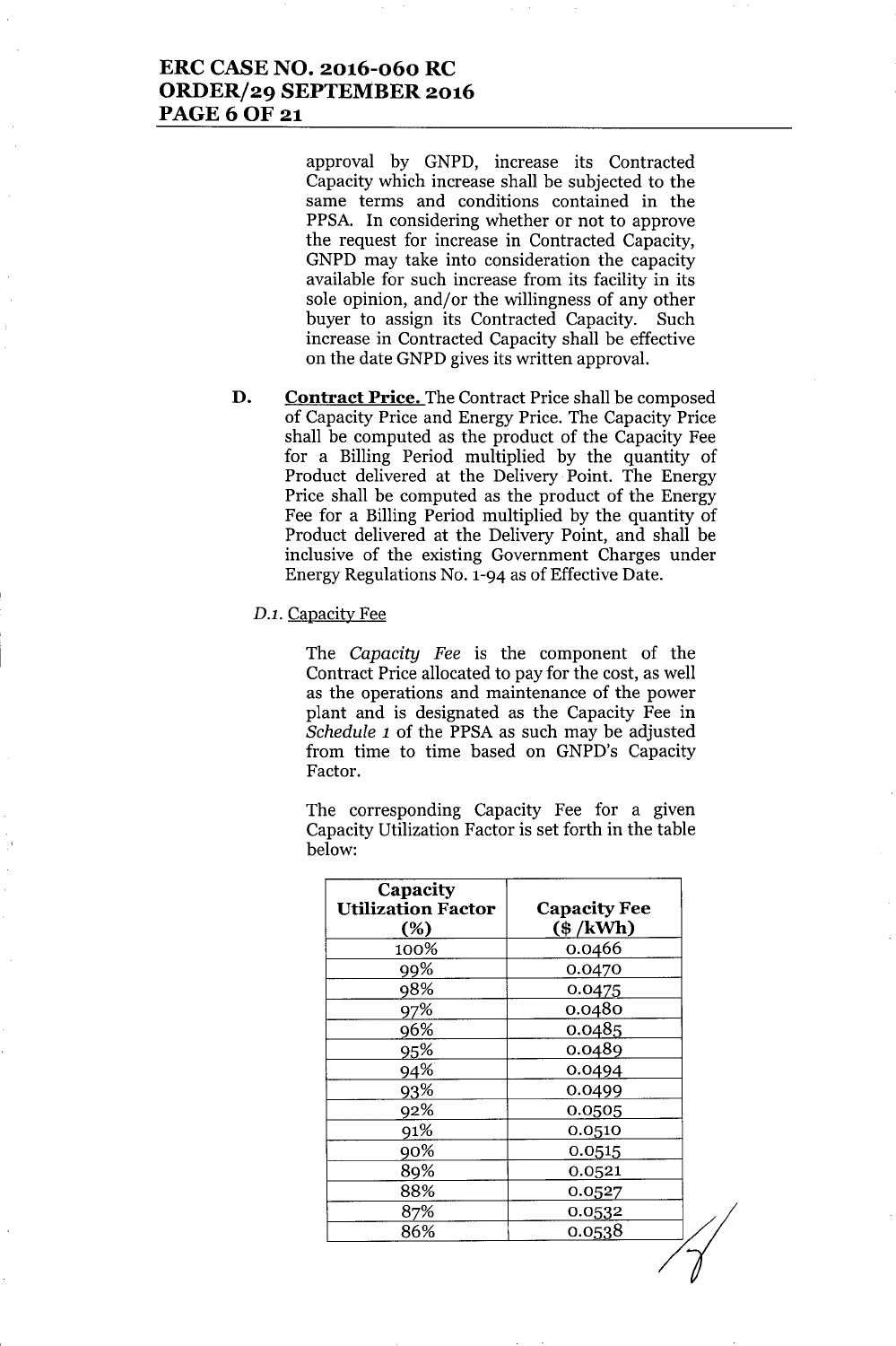## **ERC CASE NO. 2016-060 RC ORDER/29 SEPTEMBER 2016** PAGE 6 OF 21

approval by GNPD, increase its Contracted Capacity which increase shall be subjected to the same terms and conditions contained in the PPSA. In considering whether or not to approve the request for increase in Contracted Capacity, GNPD may take into consideration the capacity available for such increase from its facility in its sole opinion, and/or the willingness of any other buyer to assign its Contracted Capacity. Such increase in Contracted Capacity shall be effective on the date GNPD gives its written approval.

**D. Contract Price.** The Contract Price shall be composed of Capacity Price and Energy Price. The Capacity Price shall be computed as the product of the Capacity Fee for a Billing Period multiplied by the quantity of Product delivered at the Delivery Point. The Energy Price shall be computed as the product of the Energy Fee for a Billing Period multiplied by the quantity of Product delivered at the Delivery Point, and shall be inclusive of the existing Government Charges under Energy Regulations No. 1-94 as of Effective Date.

#### *D.l.* Capacity Fee

The *Capacity Fee* is the component of the Contract Price allocated to pay for the cost, as well as the operations and maintenance of the power plant and is designated as the Capacity Fee in *Schedule 1* of the PPSA as such may be adjusted from time to time based on GNPD's Capacity Factor.

The corresponding Capacity Fee for a given Capacity Utilization Factor is set forth in the table below:

| Capacity<br><b>Utilization Factor</b><br>$(\%)$ | <b>Capacity Fee</b><br>$(\$ /kWh)$ |
|-------------------------------------------------|------------------------------------|
| 100%                                            | 0.0466                             |
| 99%                                             | 0.0470                             |
| 98%                                             | 0.0475                             |
| 97%                                             | 0.0480                             |
| 96%                                             | 0.0485                             |
| 95%                                             | 0.0489                             |
| 94%                                             | 0.0494                             |
| 93%                                             | 0.0499                             |
| 92%                                             | 0.0505                             |
| 91%                                             | 0.0510                             |
| 90%                                             | 0.0515                             |
| 89%                                             | 0.0521                             |
| 88%                                             | 0.0527                             |
| 87%                                             | 0.0532                             |
| 86%                                             | 0.0538                             |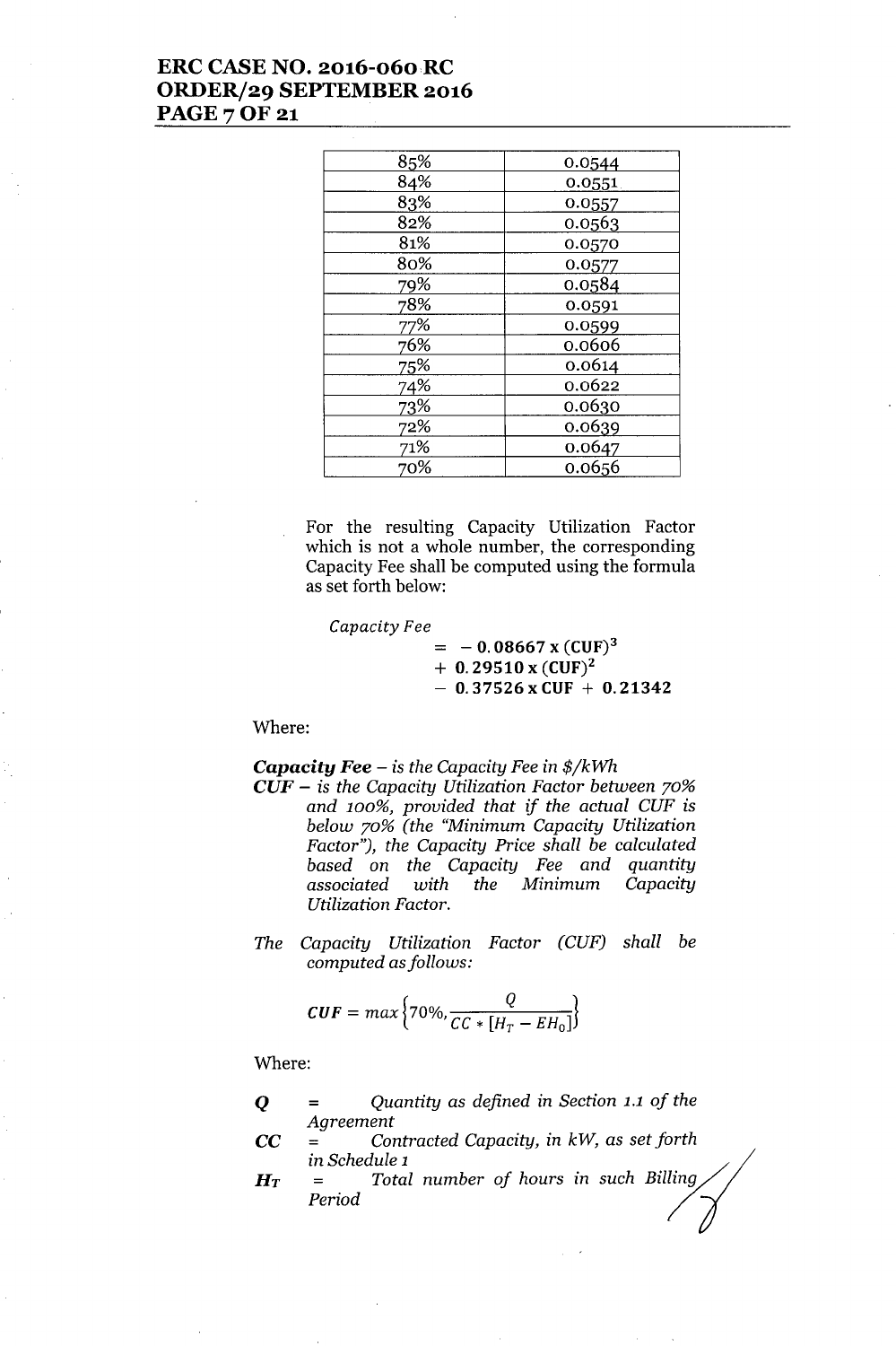## ERC CASE NO. 2016-060RC ORDER/29 SEPTEMBER 2016 **PAGE 7 OF 21**

| 85% | 0.0544 |
|-----|--------|
| 84% | 0.0551 |
| 83% | 0.0557 |
| 82% | 0.0563 |
| 81% | 0.0570 |
| 80% | 0.0577 |
| 79% | 0.0584 |
| 78% | 0.0591 |
| 77% | 0.0599 |
| 76% | 0.0606 |
| 75% | 0.0614 |
| 74% | 0.0622 |
| 73% | 0.0630 |
| 72% | 0.0639 |
| 71% | 0.0647 |
| 70% | 0.0656 |

For the resulting Capacity Utilization Factor which is not a whole number, the corresponding Capacity Fee shall be computed using the formula as set forth below:

*Capacity Fee*

 $= -0.08667 \text{ x } (\text{CUF})^3$  $+ 0.29510 \times (CUF)^2$  $- 0.37526$  x CUF  $+ 0.21342$ 

Where:

*Capacity Fee -* is *the Capacity Fee* in *\$/kWh*

- *CUF -* is *the Capacity Utilization Factor between 70% and 100%, provided that if the actual CUF* is *below 70% (the "Minimum Capacity Utilization Factor"), the Capacity Price shall be calculated based* on *the Capacity Fee and quantity associated with the Minimum Capacity Utilization Factor.*
- *The Capacity Utilization Factor (CUF) shall be computed asfollows:*

$$
CUF = max \left\{ 70\%, \frac{Q}{CC * [H_T - EH_0]} \right\}
$$

Where:

Q *= Quantity* as *defined* in *Section* 1.1 *of the Agreement*

CC *= Contracted Capacity,* in *kW,* as *set forth* in *Schedule* 1 :(

*HT = Total number of hours* in *such Billing/; Period /If*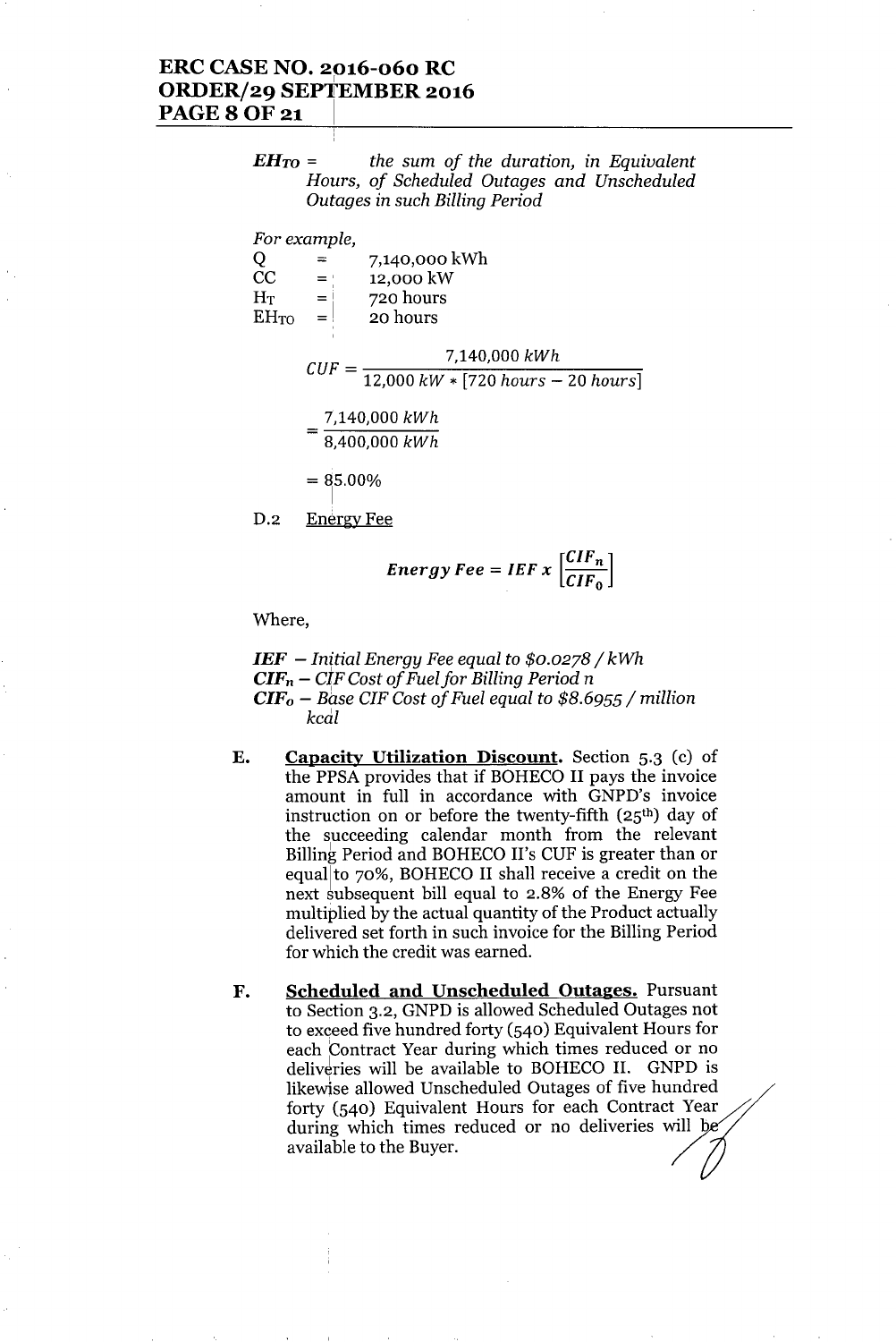### ERC CASE NO. 2016-060 RC <sup>1</sup> ORDER/29 SEPTEMBER 2016 **PAGE 8 OF 21**

*EHTO* = *the sum of the duration, in Equivalent Hours, of Scheduled Outages and Unscheduled Outages in such Billing Period*

*For example,*

|                | ≕              | 7,140,000 kWh |
|----------------|----------------|---------------|
| CC             | $=$ $^{\circ}$ | 12,000 kW     |
| H <sub>T</sub> | $\equiv$       | 720 hours     |
| $EH_{TO}$      | $=$            | 20 hours      |
|                |                |               |

 $CUF = \frac{7,140,000 \; kWh}{\frac{12,000 \; hW}{\sqrt{7700 \; hW}}$ *12,000 kW* \* [720 *hours -* 20 *hours] 7,140,000 kWh*  $=\frac{7,140,000 \; kW}{8,400,000 \; kW}$ 

 $= 85.00\%$ 

D.2 Energy Fee

$$
Energy\,Fe = IEF \, x \, \left[ \frac{CIF_n}{CIF_0} \right]
$$

Where,

*IEF - lnftial Energy Fee equal to \$0.0278/ kWh*  $CIF_n - CIF Cost of Fuel for Billing Period n$ *CIFo - Base ClF Cost of Fuel equal to* \$8.6955/ *million kcal*

- E. Capacity Utilization Discount. Section 5.3 (c) of the PPSA provides that if BOHECO II pays the invoice amount in full in accordance with GNPD's invoice instruction on or before the twenty-fifth  $(25<sup>th</sup>)$  day of the succeeding calendar month from the relevant Billing Period and BOHECO II's CUF is greater than or equallto 70%, BOHECO II shall receive a credit on the next subsequent bill equal to 2.8% of the Energy Fee multiplied by the actual quantity of the Product actually delivered set forth in such invoice for the Billing Period for which the credit was earned.
- F. Scheduled and Unscheduled Outages. Pursuant to Section 3.2, GNPD is allowed Scheduled Outages not to exceed five hundred forty (540) Equivalent Hours for each Contract Year during which times reduced or no deliveries will be available to BOHECO II. GNPD is likewise allowed Unscheduled Outages of five hundred forty  $(540)$  Equivalent Hours for each Contract Year during which times reduced or no deliveries will b available to the Buyer.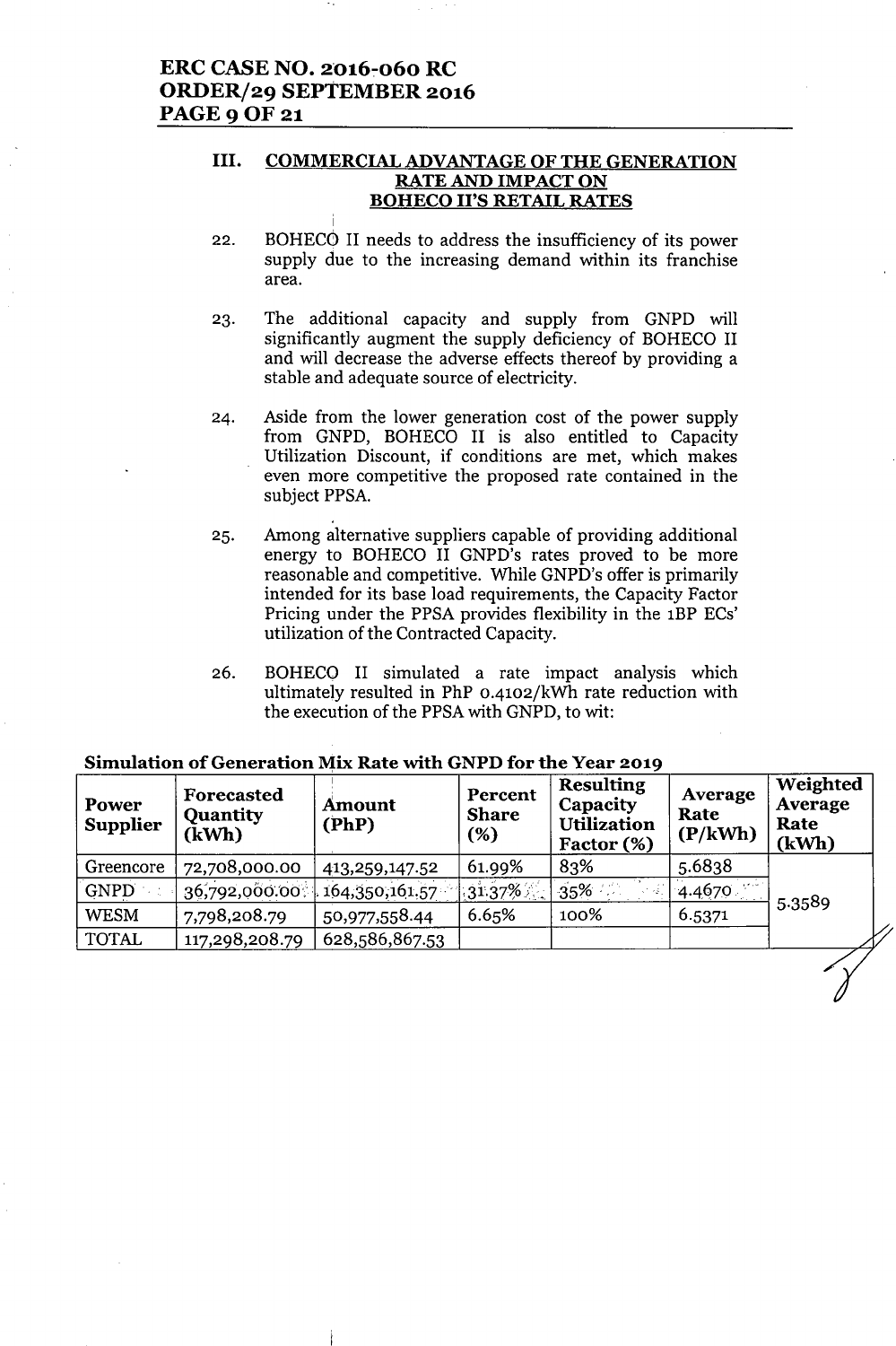### III. COMMERCIAL ADVANTAGE OF THE GENERATION RATE AND IMPACT ON BOHECO II'S RETAIL RATES

- 22. BOHECO II needs to address the insufficiency of its power supply due to the increasing demand within its franchise area.
- 23. The additional capacity and supply from GNPD will significantly augment the supply deficiency of BOHECO II and will decrease the adverse effects thereof by providing a stable and adequate source of electricity.
- 24. Aside from the lower generation cost of the power supply from GNPD, BOHECO II is also entitled to Capacity Utilization Discount, if conditions are met, which makes even more competitive the proposed rate contained in the subject PPSA.
- 25. Among alternative suppliers capable of providing additional energy to BOHECO II GNPD's rates proved to be more reasonable and competitive. While GNPD's offer is primarily intended for its base load requirements, the Capacity Factor Pricing under the PPSA provides flexibility in the 1BP ECs' utilization of the Contracted Capacity.
- 26. BOHECO II simulated a rate impact analysis which ultimately resulted in PhP 0-4102/kWh rate reduction with the execution of the PPSAwith GNPD, to wit:

| Power<br><b>Supplier</b> | Forecasted<br><b>Quantity</b><br>(kWh) | Amount<br>(PhP) | Percent<br><b>Share</b><br>(%) | <b>Resulting</b><br>Capacity<br><b>Utilization</b><br>Factor (%) | Average<br>Rate<br>(P/kWh) | Weighted<br>Average<br>Rate<br>(kWh) |
|--------------------------|----------------------------------------|-----------------|--------------------------------|------------------------------------------------------------------|----------------------------|--------------------------------------|
| Greencore                | 72,708,000.00                          | 413,259,147.52  | 61.99%                         | 83%                                                              | 5.6838                     |                                      |
| <b>GNPD</b>              | 36,792,000.00                          | 164,350,161.57  | $31.37\%$                      | 35%                                                              | 4.4670                     | 5.3589                               |
| <b>WESM</b>              | 7,798,208.79                           | 50,977,558.44   | 6.65%                          | 100%                                                             | 6.5371                     |                                      |
| <b>TOTAL</b>             | 117,298,208.79                         | 628,586,867.53  |                                |                                                                  |                            |                                      |
|                          |                                        |                 |                                |                                                                  |                            |                                      |

### Simulation of Generation Mix Rate with GNPD for the Year 2019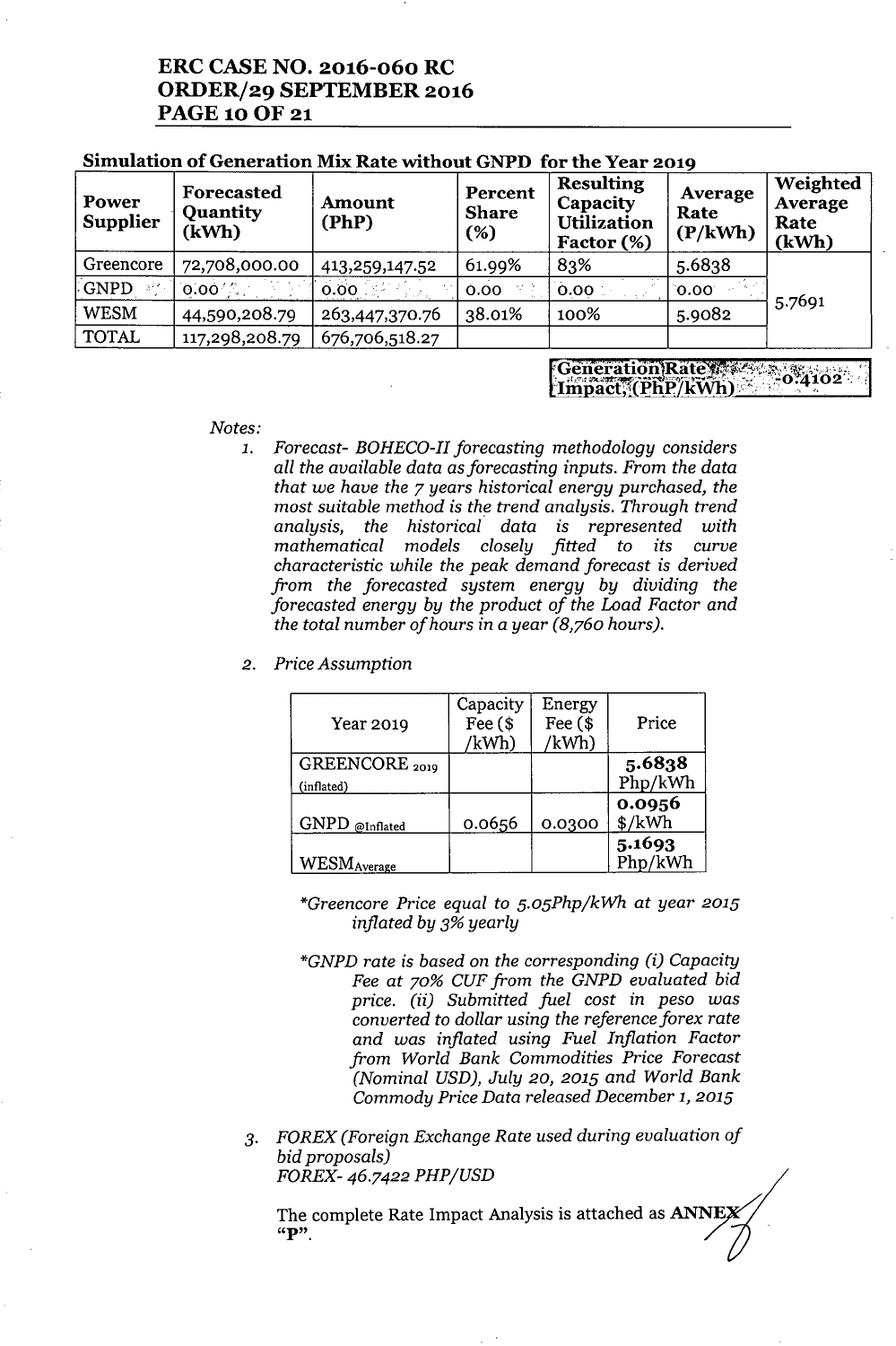## **ERC CASE NO. 2016-060 RC ORDER/29 SEPTEMBER 2016** PAGE 10 OF 21

| Power<br><b>Supplier</b> | Forecasted<br><b>Quantity</b><br>(kWh) | Amount<br>(PhP) | Percent<br><b>Share</b><br>(%) | <b>Resulting</b><br>Capacity<br><b>Utilization</b><br>Factor (%) | Average<br>Rate<br>(P/kWh) | Weighted<br>Average<br>Rate<br>(kWh) |
|--------------------------|----------------------------------------|-----------------|--------------------------------|------------------------------------------------------------------|----------------------------|--------------------------------------|
| Greencore                | 72,708,000.00                          | 413,259,147.52  | 61.99%                         | 83%                                                              | 5.6838                     |                                      |
| GNPD                     | $0.00\%$                               | 0.00            | 0.00                           | 0.00                                                             | 0.00                       |                                      |
| <b>WESM</b>              | 44,590,208.79                          | 263,447,370.76  | 38.01%                         | 100%                                                             | 5.9082                     | 5.7691                               |
| <b>TOTAL</b>             | 117,298,208.79                         | 676,706,518.27  |                                |                                                                  |                            |                                      |

### **Simulation of Generation Mix Rate without GNPD for the Year 2019**

Generation Rate and Company [Impact, (PhP/kWh)

#### *Notes:*

- *1. Forecast- BOHECO-II forecasting methodology considers all the available data* as*forecasting inputs. From the data that we have the* 7 *years historical energy purchased, the most suitable method* is *the trend analysis. Through trend analysis, the historical data* is *represented with mathematical models closely fitted to its curve characteristic while the peak demand forecast is derived from the forecasted system energy by dividing the forecasted energy by the product of the Load Factor and the total number of hours in* a *year (8,760 hours).*
- *2. Price Assumption*

| Year 2019           | Capacity<br>Fee $($$<br>/kWh) | Energy<br>Fee $$$<br>/kWh) | Price                                 |
|---------------------|-------------------------------|----------------------------|---------------------------------------|
| GREENCORE 2019      |                               |                            | 5.6838<br>Php/kWh                     |
| (inflated)          |                               |                            |                                       |
| GNPD @Inflated      | 0.0656                        | 0.0300                     | 0.0956<br>$\frac{\text{K}}{\text{W}}$ |
| <b>WESM</b> Average |                               |                            | 5.1693<br>Php/kWh                     |

*\*Greencore Price equal to 5.05Php/kWh at year 2015 inflated by* 3% *yearly*

- *\*GNPD rate is based* on *the corresponding (i) Capacity Fee at 70% CUF from the GNPD evaluated bid price. (ii) Submitted fuel cost* in *peso was converted to dollar using the reference forex rate and was inflated using Fuel Inflation Factor from World Bank Commodities Price Forecast (Nominal USD), July 20,2015 and World Bank Commody Price Data released December* 1, *2015*
- *3. FOREX (Foreign Exchange Rate used during evaluation of bid proposals) FOREX-* 46.7422 *PHP/USD*

The complete Rate Impact Analysis is attached as  $\Delta NNEX / N$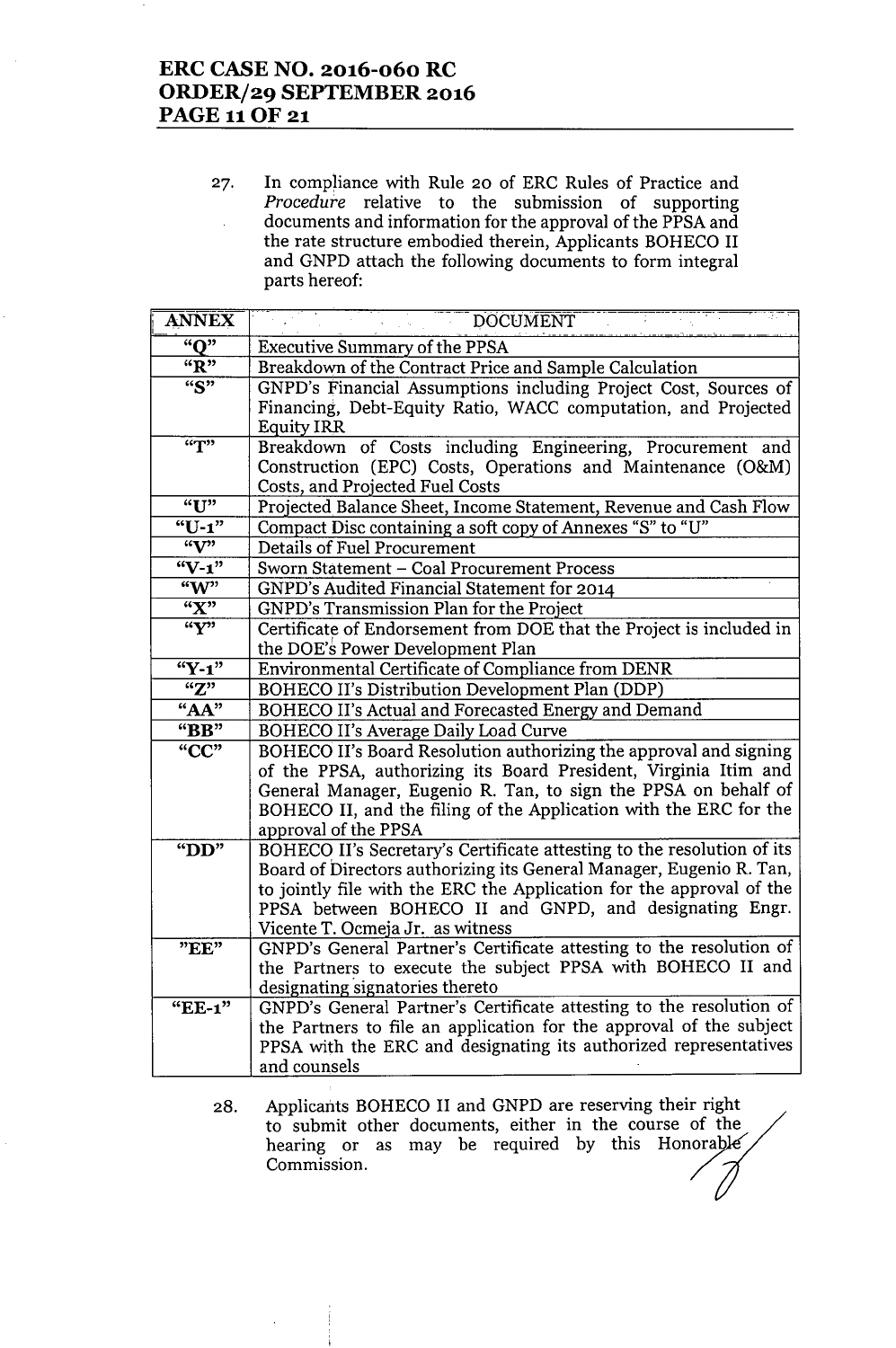## **ERC CASE NO. 2016-060 RC ORDER/29 SEPTEMBER 2016 PAGE 11 OF 21**

27. In compliance with Rule 20 of ERC Rules of Practice and *Procedure* relative to the submission of supporting documents and information for the approval of the PPSA and the rate structure embodied therein, Applicants BOHECO II and GNPD attach the following documents to form integral parts hereof:

| <b>ANNEX</b>          | <b>DOCUMENT</b>                                                                            |
|-----------------------|--------------------------------------------------------------------------------------------|
| "O"                   | <b>Executive Summary of the PPSA</b>                                                       |
| "R"                   | Breakdown of the Contract Price and Sample Calculation                                     |
| $\overline{``S"}$     | GNPD's Financial Assumptions including Project Cost, Sources of                            |
|                       | Financing, Debt-Equity Ratio, WACC computation, and Projected                              |
|                       | <b>Equity IRR</b>                                                                          |
| $\overline{r}$        | Breakdown of Costs including Engineering, Procurement and                                  |
|                       | Construction (EPC) Costs, Operations and Maintenance (O&M)                                 |
| "U"                   | Costs, and Projected Fuel Costs                                                            |
| $"U-1"$               | Projected Balance Sheet, Income Statement, Revenue and Cash Flow                           |
| $\mathbf{w}$          | Compact Disc containing a soft copy of Annexes "S" to "U"<br>Details of Fuel Procurement   |
| $"V-1"$               | Sworn Statement - Coal Procurement Process                                                 |
| $\sqrt[4]{w^2}$       | GNPD's Audited Financial Statement for 2014                                                |
| "X"                   | GNPD's Transmission Plan for the Project                                                   |
| $\sqrt{\mathbf{Y}^2}$ | Certificate of Endorsement from DOE that the Project is included in                        |
|                       | the DOE's Power Development Plan                                                           |
| $"Y-1"$               | Environmental Certificate of Compliance from DENR                                          |
| "Z"                   | BOHECO II's Distribution Development Plan (DDP)                                            |
| "AA"                  | BOHECO II's Actual and Forecasted Energy and Demand                                        |
| "BB"                  | BOHECO II's Average Daily Load Curve                                                       |
| $C^*CC$               | BOHECO II's Board Resolution authorizing the approval and signing                          |
|                       | of the PPSA, authorizing its Board President, Virginia Itim and                            |
|                       | General Manager, Eugenio R. Tan, to sign the PPSA on behalf of                             |
|                       | BOHECO II, and the filing of the Application with the ERC for the                          |
|                       | approval of the PPSA                                                                       |
| " $DD"$               | BOHECO II's Secretary's Certificate attesting to the resolution of its                     |
|                       | Board of Directors authorizing its General Manager, Eugenio R. Tan,                        |
|                       | to jointly file with the ERC the Application for the approval of the                       |
|                       | PPSA between BOHECO II and GNPD, and designating Engr.<br>Vicente T. Ocmeja Jr. as witness |
| "EE"                  | GNPD's General Partner's Certificate attesting to the resolution of                        |
|                       | the Partners to execute the subject PPSA with BOHECO II and                                |
|                       | designating signatories thereto                                                            |
| "EE-1"                | GNPD's General Partner's Certificate attesting to the resolution of                        |
|                       | the Partners to file an application for the approval of the subject                        |
|                       | PPSA with the ERC and designating its authorized representatives                           |
|                       | and counsels                                                                               |

28. Applicants BOHECO II and GNPD are reserving their right to submit other documents, either in the course of the hearing or as may be required by this Honorable Commission. / *7f*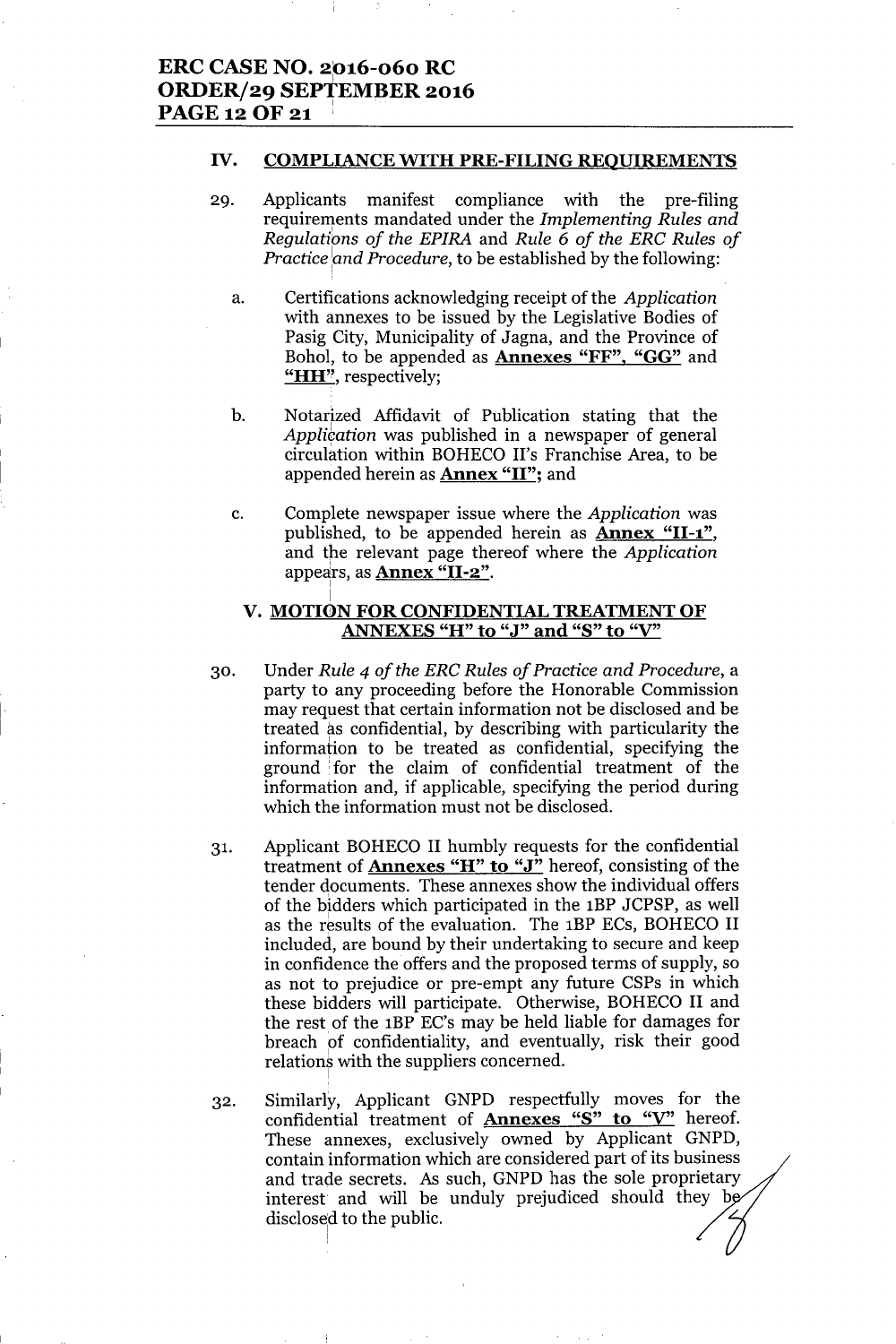I

I

#### IV. COMPLIANCE WITH PRE-FILING REQUIREMENTS

- 29. Applicants manifest compliance with the pre-filing requirements mandated under the *Implementing Rules and* .' *Regulations of the EPIRA* and *Rule* <sup>6</sup> *of the ERC Rules of Practice and Procedure*, to be established by the following:
	- a. Certifications acknowledging receipt of the *Application* with annexes to be issued by the Legislative Bodies of Pasig City, Municipality of Jagna, and the Province of Bohol, to be appended as **Annexes "FF", "GG"** and "HH", respectively;
	- b. Notarized Affidavit of Publication stating that the *Application* was published in a newspaper of general circulation within BOHECO II's Franchise Area, to be appended herein as **Annex "II"**; and
	- c. Complete newspaper issue where the *Application* was published, to be appended herein as Annex "11-1", and the relevant page thereof where the *Application* appears, as **Annex "II-2"**.

### V. MOTION FOR CONFIDENTIAL TREATMENT OF ANNEXES "H" to "J" and "S" to "V"

- 30. Under *Rule* 4 *of the ERC Rules of Practice and Procedure,* a party to any proceeding before the Honorable Commission may request that certain information not be disclosed and be treated as confidential, by describing with particularity the information to be treated as confidential, specifying the ground :for the claim of confidential treatment of the information and, if applicable, specifying the period during which the information must not be disclosed.
- 31. Applicant BOHECO II humbly requests for the confidential treatment of Annexes "H" to "J" hereof, consisting of the tender documents. These annexes show the individual offers of the bidders which participated in the lBP JCPSP, as well as the results of the evaluation. The 1BP ECs, BOHECO II included, are bound by their undertaking to secure and keep in confidence the offers and the proposed terms of supply, so as not to prejudice or pre-empt any future CSPs in which these bidders will participate. Otherwise, BOHECO II and the rest of the lBP EC's may be held liable for damages for breach of confidentiality, and eventually, risk their good relations with the suppliers concerned.
- 32. Similarly, Applicant GNPD respectfully moves for the confidential treatment of **Annexes "S" to "V"** hereof. These annexes, exclusively owned by Applicant GNPD, contain information which are considered part of its business and trade secrets. As such, GNPD has the sole proprietary interest and will be unduly prejudiced should they b disclosed to the public.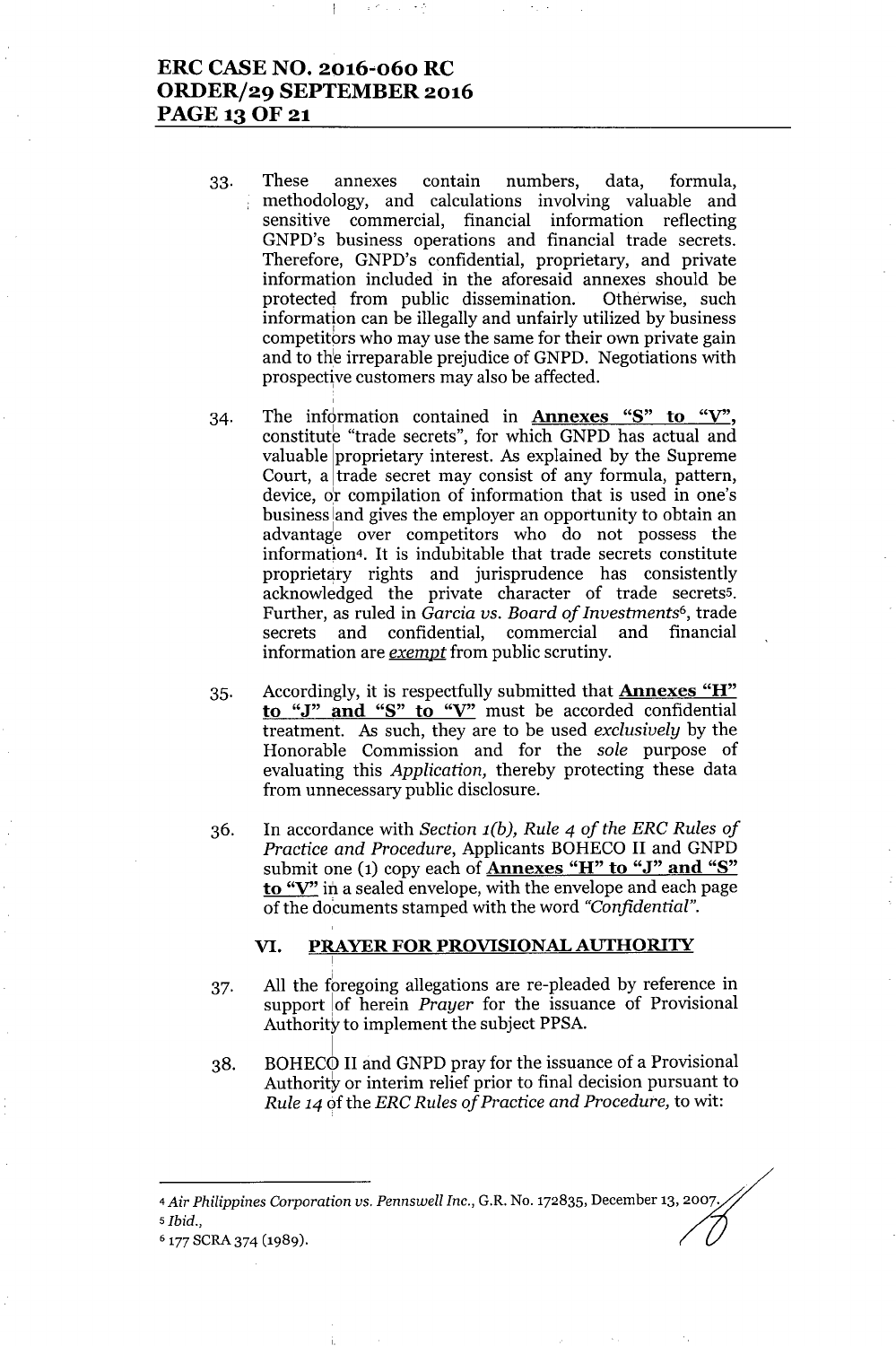## **ERC CASE NO. 2016"060 RC ORDER/29 SEPTEMBER 2016 PAGE130F21**

- 33. These annexes contain numbers, data, formula, methodology, and calculations involving valuable and ÷ sensitive commercial, financial information reflecting GNPD's business operations and financial trade secrets. Therefore, GNPD's confidential, proprietary, and private information included in the aforesaid annexes should be protected from public dissemination. Otherwise, such information can be illegally and unfairly utilized by business competitors who may use the same for their own private gain and to the irreparable prejudice of GNPD. Negotiations with prospective customers may also be affected.
- 34. The information contained in **Annexes** "S" **to** "V", constitute "trade secrets", for which GNPD has actual and valuable proprietary interest. As explained by the Supreme Court, a trade secret may consist of any formula, pattern, device, dr compilation of information that is used in one's business land gives the employer an opportunity to obtain an advantage over competitors who do not possess the information<sup>4</sup>. It is indubitable that trade secrets constitute proprietary rights and jurisprudence has consistently acknowledged the private character of trade secrets5. Further, as ruled in *Garcia vs. Board of Investments6,* trade secrets and confidential, commercial and financial information are *exempt* from public scrutiny.
- 35. Accordingly, it is respectfully submitted that **Annexes** "H" **to** "J" **and** "S" **to** "V" must be accorded confidential treatment. As such, they are to be used *exclusively* by the Honorable Commission and for the *sale* purpose of evaluating this *Application,* thereby protecting these data from unnecessary public disclosure.
- In accordance with *Section l(b), Rule* 4 *of the ERC Rules of* 36. *Practice and Procedure,* Applicants BOHECO II and GNPD submit one (1) copy each of **Annexes** "H" **to** "J" **and** "S" **to** "V" in a sealed envelope, with the envelope and each page of the documents stamped with the word *"Confidential".*

### **VI. PRAYERFOR PROVISIONALAUTHORITY**

I

- 37. All the foregoing allegations are re-pleaded by reference in support !of herein *Prayer* for the issuance of Provisional Authority to implement the subject PPSA.
- 38. BOHECO II and GNPD pray for the issuance of a Provisional Authority or interim relief prior to final decision pursuant to *Rule* 14 of the *ERC Rules of Practice and Procedure,* to wit:

*<sup>5</sup> Ibid.,*

<sup>4</sup> Air Philippines Corporation *vs. Pennswell Inc.*, G.R. No. 172835, December 13, 2007,

<sup>6 177</sup> SCRA 374 (1989).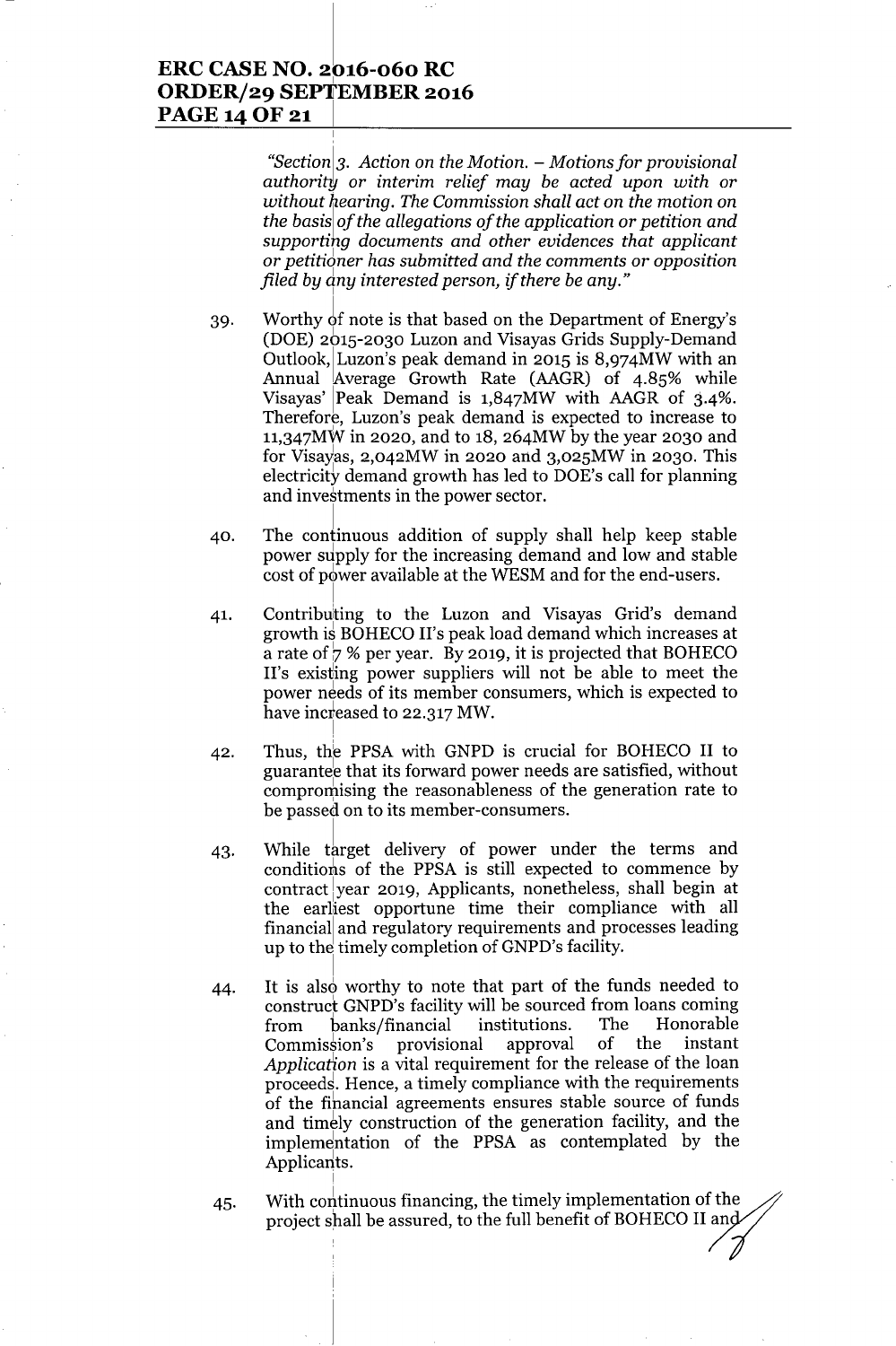### **ERC CASE NO. 2016-060 RC** <sup>I</sup> **ORDER/29 SEPTEMBER 2016 PAGE140F21 <sup>I</sup>**

*"Section* <sup>1</sup>3. *Action* on *the Motion. -* Mo *tions for provisional authoritY* or *interim relief may be acted upon with* or *without* hi*earing. The Commission shall act* on *the motion* on *the basis of the allegations of the application* or *petition and supporting documents and other evidences that applicant* or *petiti6ner has submitted and the comments* or *opposition filed by dny interested person, if there be any."*

- 39. Worthy of note is that based on the Department of Energy's (DOE) 2615-2030 Luzon and Visayas Grids Supply-Demand Outlook, Luzon's peak demand in 2015 is  $8.974MW$  with an Annual Average Growth Rate (AAGR) of 4.85% while Visayas' Peak Demand is  $1,847MW$  with AAGR of  $3.4\%$ . Therefore, Luzon's peak demand is expected to increase to 11,347MW in 2020, and to 18, 264MW by the year 2030 and for Visayas,  $2,042MW$  in 2020 and  $3,025MW$  in 2030. This electricity demand growth has led to DOE's call for planning and investments in the power sector.
- 40. The continuous addition of supply shall help keep stable power supply for the increasing demand and low and stable cost of power available at the WESM and for the end-users.
- 41. Contributing to the Luzon and Visayas Grid's demand growth is BOHECO II's peak load demand which increases at a rate of  $\frac{1}{2}$  % per year. By 2019, it is projected that BOHECO II's existing power suppliers will not be able to meet the power needs of its member consumers, which is expected to have increased to 22.317 MW.
- 42. Thus, the PPSA with GNPD is crucial for BOHECO II to guarantee that its forward power needs are satisfied, without compromising the reasonableness of the generation rate to be passed on to its member-consumers.
- 43. While target delivery of power under the terms and conditions of the PPSA is still expected to commence by contract year 2019, Applicants, nonetheless, shall begin at the earliest opportune time their compliance with all financial and regulatory requirements and processes leading up to the timely completion of GNPD's facility.
- 44. It is also worthy to note that part of the funds needed to construct GNPD's facility will be sourced from loans coming from banks/financial institutions. The Honorable Commission's provisional approval of the instant *Application* is a vital requirement for the release of the loan proceeds. Hence, a timely compliance with the requirements of the fihancial agreements ensures stable source of funds and timely construction of the generation facility, and the implementation of the PPSA as contemplated by the Applicants.
- 45. With continuous financing, the timely implementation of the project shall be assured, to the full benefit of BOHECO II an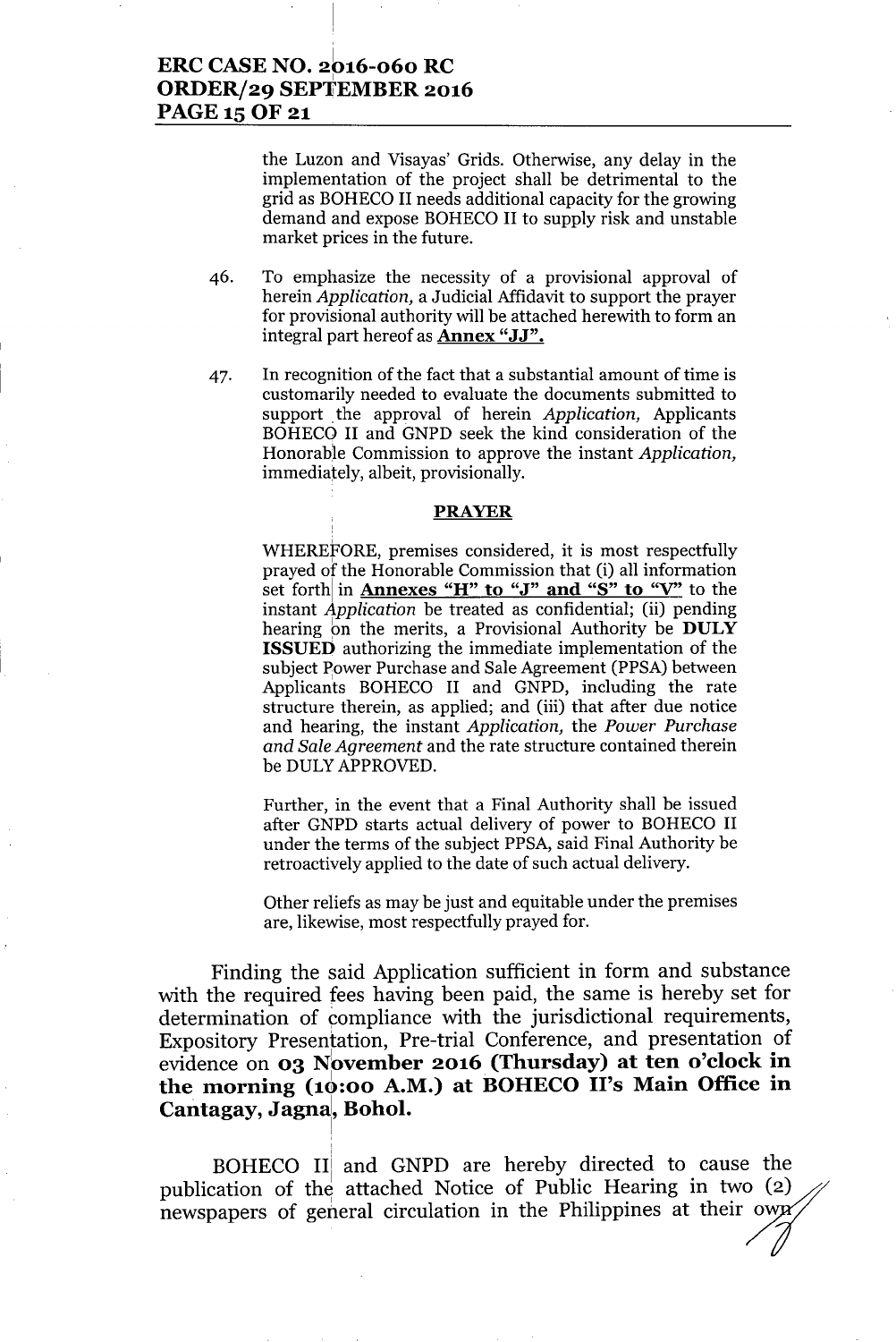## ERCCASENO. 2616-060 RC ORDER/29 SEPTEMBER 2016 PAGE 15 OF 21

the Luzon and Visayas' Grids. Otherwise, any delay in the implementation of the project shall be detrimental to the grid as BOHECO II needs additional capacity for the growing demand and expose BOHECO II to supply risk and unstable market prices in the future.

- 46. To emphasize the necessity of a provisional approval of herein *Application,* a Judicial Affidavit to support the prayer for provisional authority will be attached herewith to form an integral part hereof as **Annex "JJ".**
- 47. In recognition of the fact that a substantial amount of time is customarily needed to evaluate the documents submitted to support the approval of herein *Application*, Applicants BOHECO II and GNPD seek the kind consideration of the Honorable Commission to approve the instant *Application,* immediately, albeit, provisionally.

#### PRAYER

WHEREfORE, premises considered, it is most respectfully prayed of the Honorable Commission that (i) all information set forth in **Annexes** "H" to "J" and "S" to "V" to the instant *Application* be treated as confidential; (ii) pending hearing on the merits, a Provisional Authority be DULY ISSUEO authorizing the immediate implementation of the subject Power Purchase and Sale Agreement (PPSA) between Applicants BOHECO II and GNPD, including the rate structure therein, as applied; and (iii) that after due notice and hearing, the instant *Application,* the *Power Purchase and Sale Agreement* and the rate structure contained therein be DULYAPPROVED.

Further, in the event that a Final Authority shall be issued after GNPD starts actual delivery of power to BOHECO II under the terms of the subject PPSA, said Final Authority be retroactively applied to the date of such actual delivery.

Other reliefs as may be just and equitable under the premises are, likewise, most respectfully prayed for.

Finding the said Application sufficient in form and substance with the required fees having been paid, the same is hereby set for determination of compliance with the jurisdictional requirements, Expository Presentation, Pre-trial Conference, and presentation of evidence on **03 November 2016 (Thursday)** at ten o'clock in the morning  $(10:00 \text{ A.M.})$  at BOHECO II's Main Office in Cantagay, Jagna, Bohol.

BOHECO IIi and GNPD are hereby directed to cause the publication of the attached Notice of Public Hearing in two (2) newspapers of general circulation in the Philippines at their own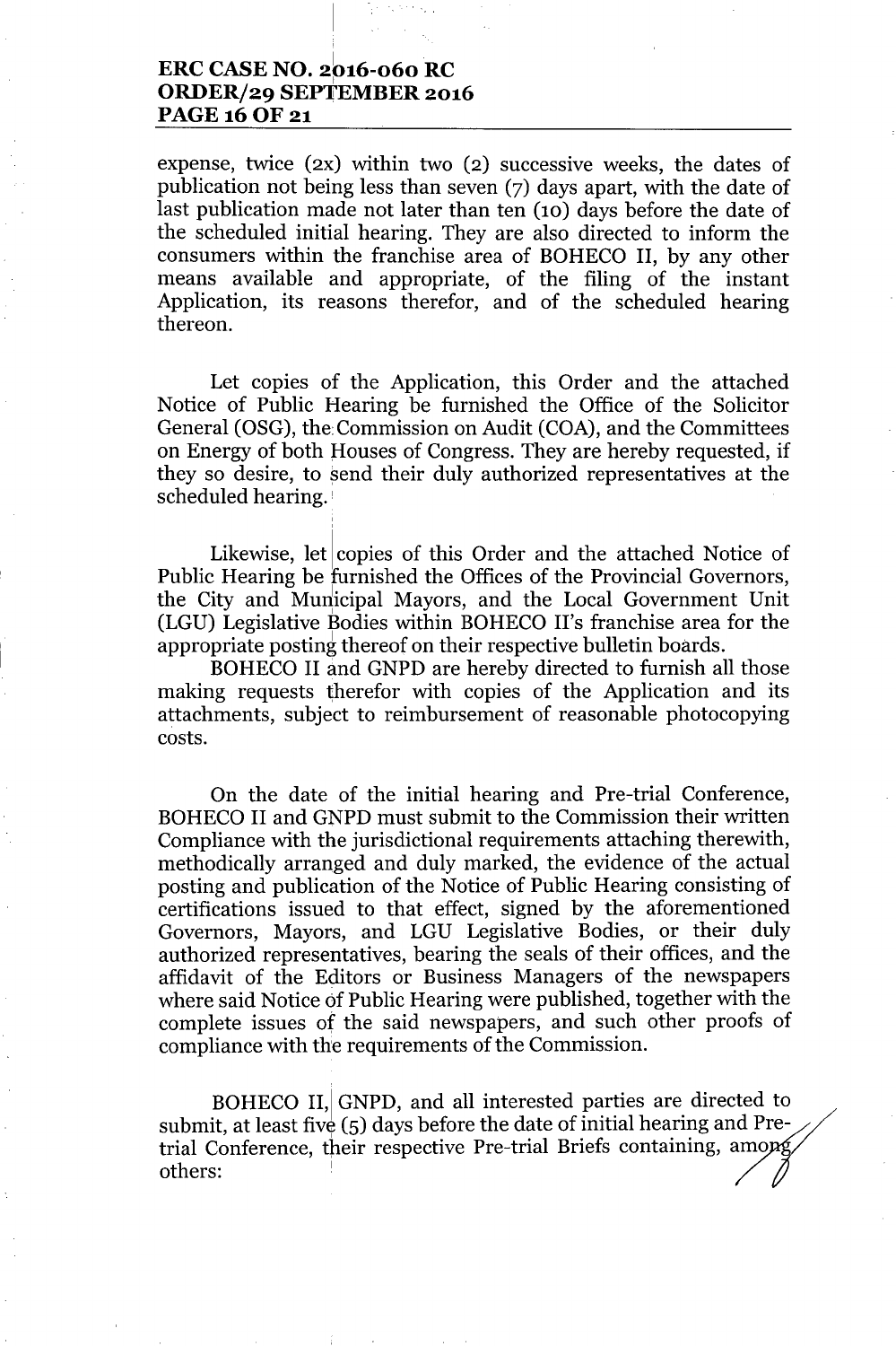## **ERC CASE NO.** 2~)16-060**RC ORDER/29 SEPTEMBER 2016** PAGE 16 OF 21

,

expense, twice (2X) within two (2) successive weeks, the dates of publication not being less than seven (7) days apart, with the date of last publication made not later than ten (10) days before the date of the scheduled initial hearing. They are also directed to inform the consumers within the franchise area of BOHECO II, by any other means available and appropriate, of the filing of the instant Application, its reasons therefor, and of the scheduled hearing thereon.

Let copies of the Application, this Order and the attached Notice of Public Hearing be furnished the Office of the Solicitor General (OSG), the Commission on Audit (COA), and the Committees on Energy of both Houses of Congress. They are hereby requested, if they so desire, to send their duly authorized representatives at the scheduled hearing. !

Likewise, let copies of this Order and the attached Notice of Public Hearing be furnished the Offices of the Provincial Governors, the City and Municipal Mayors, and the Local Government Unit (LGU) Legislative Bodies within BOHECO II's franchise area for the appropriate posting thereof on their respective bulletin boards.

BOHECO II and GNPD are hereby directed to furnish all those making requests therefor with copies of the Application and its attachments, subject to reimbursement of reasonable photocopying costs.

On the date of the initial hearing and Pre-trial Conference, BOHECO II and GNPD must submit to the Commission their written Compliance with the jurisdictional requirements attaching therewith, methodically arranged and duly marked, the evidence of the actual posting and publication of the Notice of Public Hearing consisting of certifications issued to that effect, signed by the aforementioned Governors, Mayors, and LGU Legislative Bodies, or their duly authorized representatives, bearing the seals of their offices, and the affidavit of the Editors or Business Managers of the newspapers where said Notice of Public Hearing were published, together with the complete issues of the said newspapers, and such other proofs of compliance with the requirements of the Commission.

BOHECO II, GNPD, and all interested parties are directed to submit, at least five (5) days before the date of initial hearing and Pretrial Conference, their respective Pre-trial Briefs containing, amo others: 1)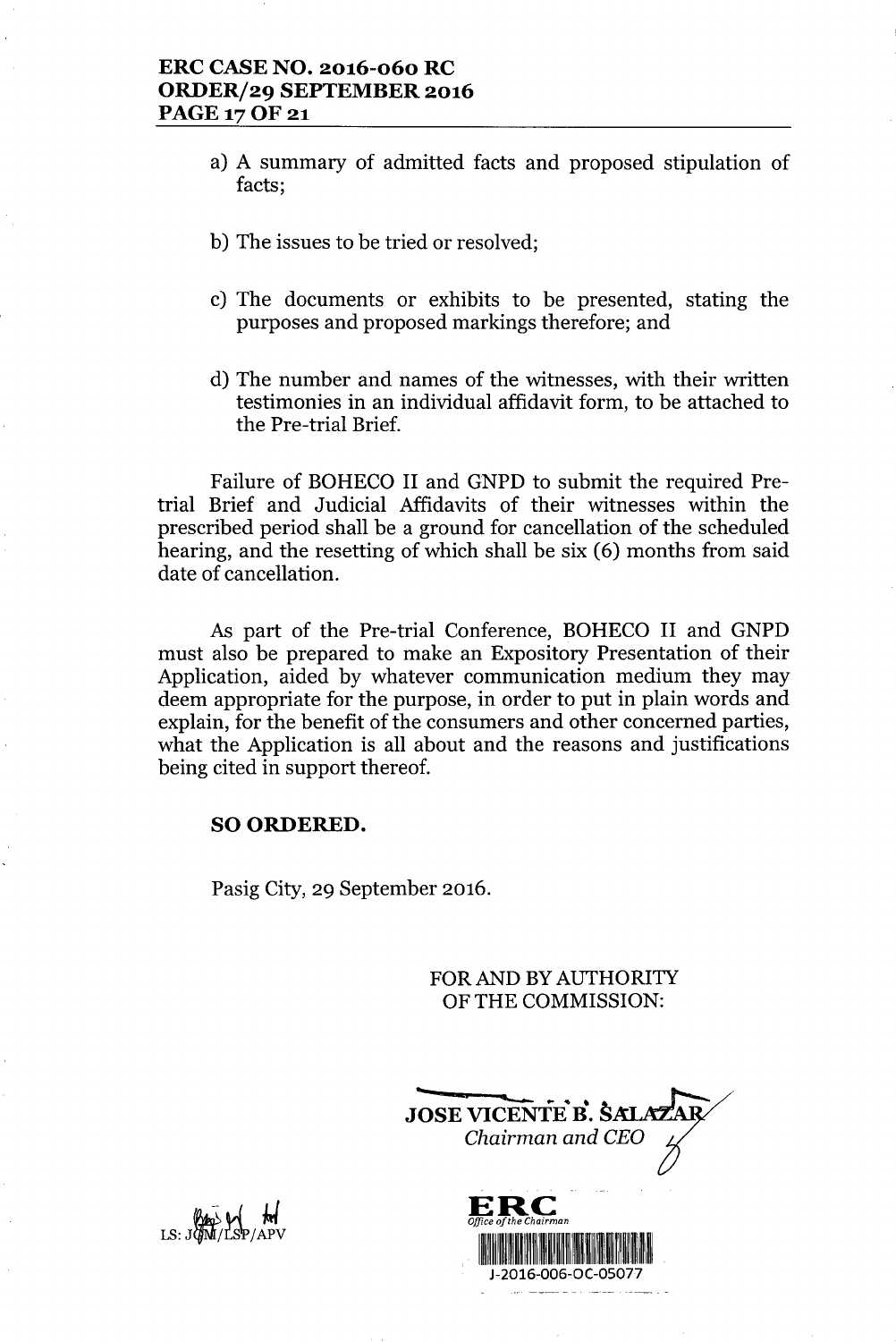- a) A summary of admitted facts and proposed stipulation of facts;
- b) The issues to be tried or resolved;
- c) The documents or exhibits to be presented, stating the purposes and proposed markings therefore; and
- d) The number and names of the witnesses, with their written testimonies in an individual affidavit form, to be attached to the Pre-trial Brief.

Failure of BOHECO II and GNPD to submit the required Pretrial Brief and Judicial Affidavits of their witnesses within the prescribed period shall be a ground for cancellation of the scheduled hearing, and the resetting of which shall be six (6) months from said date of cancellation.

As part of the Pre-trial Conference, BOHECO II and GNPD must also be prepared to make an Expository Presentation of their Application, aided by whatever communication medium they may deem appropriate for the purpose, in order to put in plain words and explain, for the benefit of the consumers and other concerned parties, what the Application is all about and the reasons and justifications being cited in support thereof.

### SO ORDERED.

Pasig City, 29 September 2016.

FOR AND BY AUTHORITY OF THE COMMISSION:

**-** JOSE VICENTE B. S. *Chairman and CEO*



 $\overline{M}$  and  $\overline{M}$ LS: JOBO V MI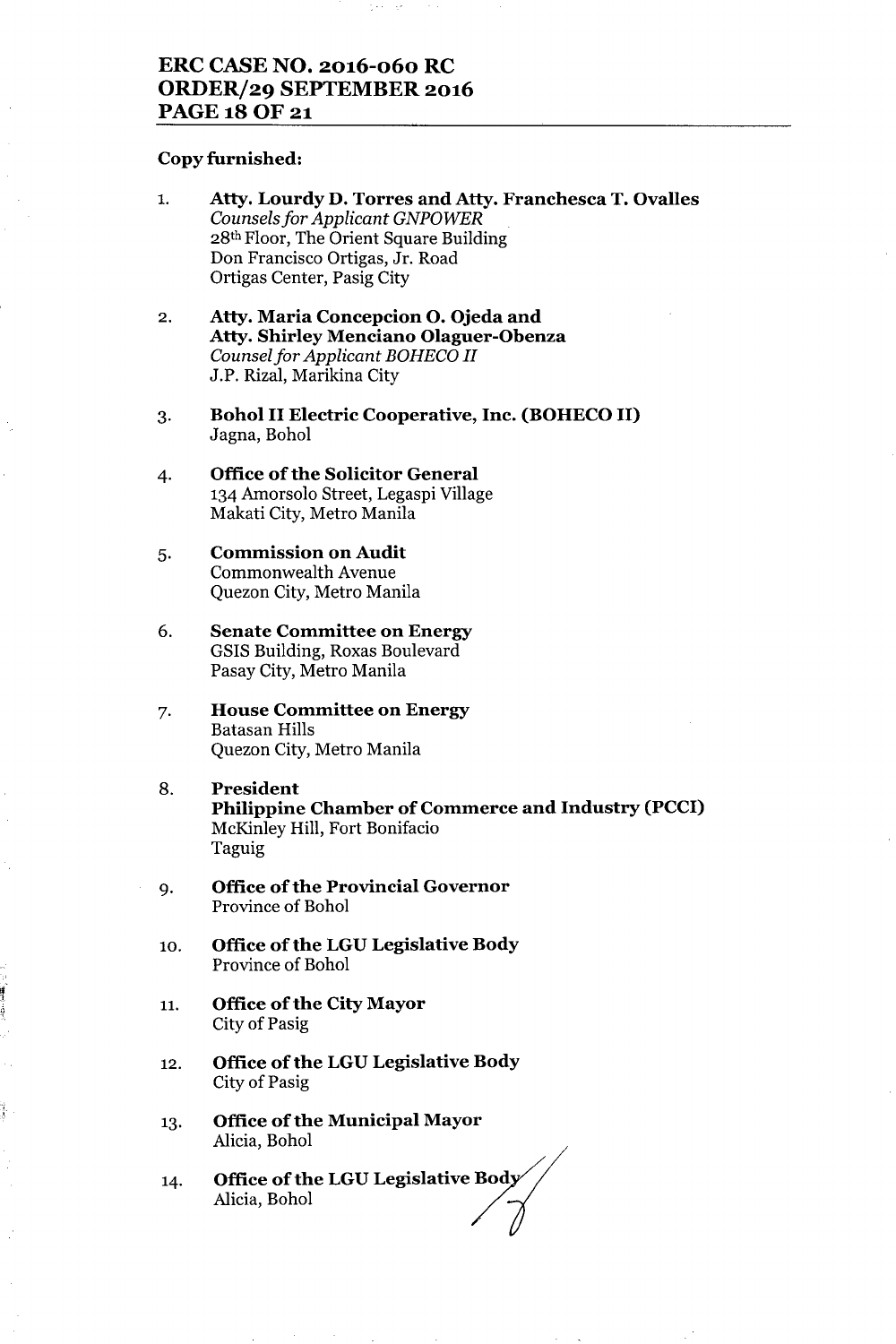## **ERC CASE NO. 2016-060 RC ORDER/29 SEPTEMBER 2016 PAGE180F21**

### **Copy furnished:**

- 1. **Atty. Lourdy D. Torres and Atty. Franchesca T. Ovalles** *Counselsfor Applicant GNPOWER* 28th Floor, The Orient Square Building Don Francisco Ortigas, Jr. Road Ortigas Center, Pasig City
- 2. **Atty. Maria Concepcion O. Ojeda and Atty. Shirley Menciano Olaguer-Obenza** *Counselfor Applicant BOHECO II* J.P. Rizal, Marikina City
- 3. **Bohol II Electric Cooperative, Inc. (BOHECO II)** Jagna, Bohol
- 4. **Office of the Solicitor General** 134 Amorsolo Street, Legaspi Village Makati City, Metro Manila
- 5. **Commission on Audit** Commonwealth Avenue Quezon City, Metro Manila
- 6. **Senate Committee on Energy** GSIS Building, Roxas Boulevard Pasay City, Metro Manila
- 7. **House Committee on Energy** Batasan Hills Quezon City, Metro Manila
- 8. **President Philippine Chamber of Commerce and Industry (PCCI)** McKinley Hill, Fort Bonifacio Taguig
- 9. **Office** of the **Provincial Governor** Province of Bohol
- 10. **Office of the LGU Legislative Body** Province of Bohol
- 11. **Office** of the **City Mayor** City of Pasig
- 12. **Office** of the **LGU Legislative Body** City of Pasig
- 13. **Office** of the **Municipal Mayor** Alicia, Bohol
- 14. **Office of the LGU Legislative Body** Alicia, Bohol<br>**Office of the LGU Legislative Body**<br>Alicia, Bohol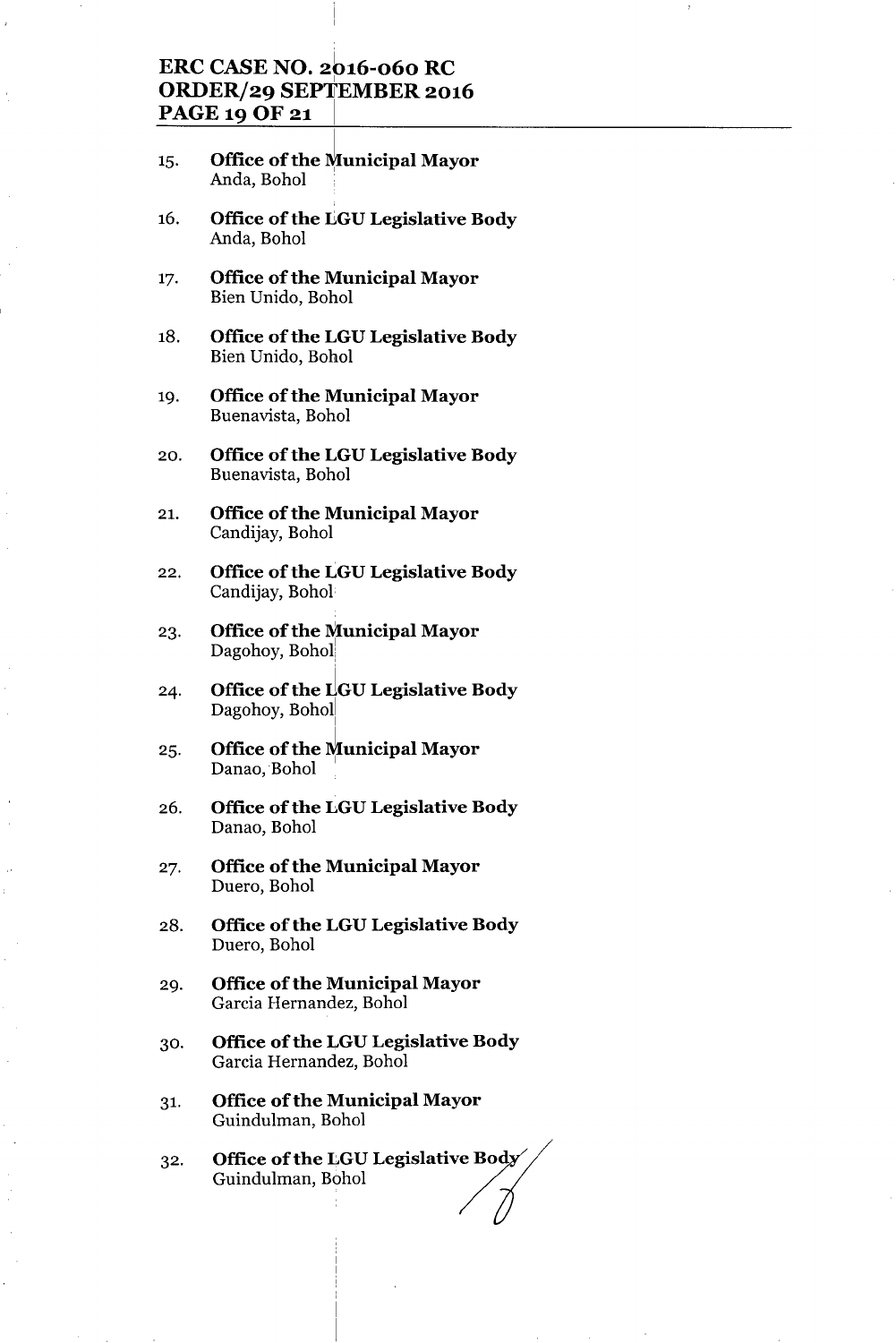## **ERC CASE NO. 2616-060 RC** <sup>I</sup> **ORDER/29 SEPTEMBER 2016 PAGE 19 OF 21** <sup>I</sup>

- 15. **Office of the Municipal Mayor** Anda, Bohol .
- 16. **Office** of the **IIGULegislative Body** Anda, Bohol
- 17. **Office** of the **Municipal Mayor** Bien Unido, Bohol
- 18. **Office** of the **LGU Legislative Body** Bien Unido, Bohol
- 19. **Office** of the **Municipal Mayor** Buenavista, Bohol
- 20. **Office** of the **LGU Legislative Body** Buenavista, Bohol
- 21. **Office** of the **Municipal Mayor** Candijay, Bohol
- 22. **Office** of the **LGU Legislative Body** Candijay, Bohol
- 23. **Office ofthe Municipal Mayor** Dagohoy, Bohol
- 24. **Office** of the **rlGU Legislative Body** Dagohoy, Bohol
- 25. **Office** of the Municipal Mayor Danao, Bohol
- 26. **Office ofthe LGU Legislative Body** Danao, Bohol
- 27. **Office** of the **Municipal Mayor** Duero, Bohol
- 28. **Office ofthe LGU Legislative Body** Duero, Bohol
- 29. **Office ofthe Municipal Mayor** Garcia Hernandez, Bohol
- 30. **Office** of the **LGU Legislative Body** Garcia Hernandez, Bohol
- 31. **Office ofthe Municipal Mayor** Guindulman, Bohol
- 32. **Office of the LGU Legislative Body**<br>Guindulman, Bohol */* /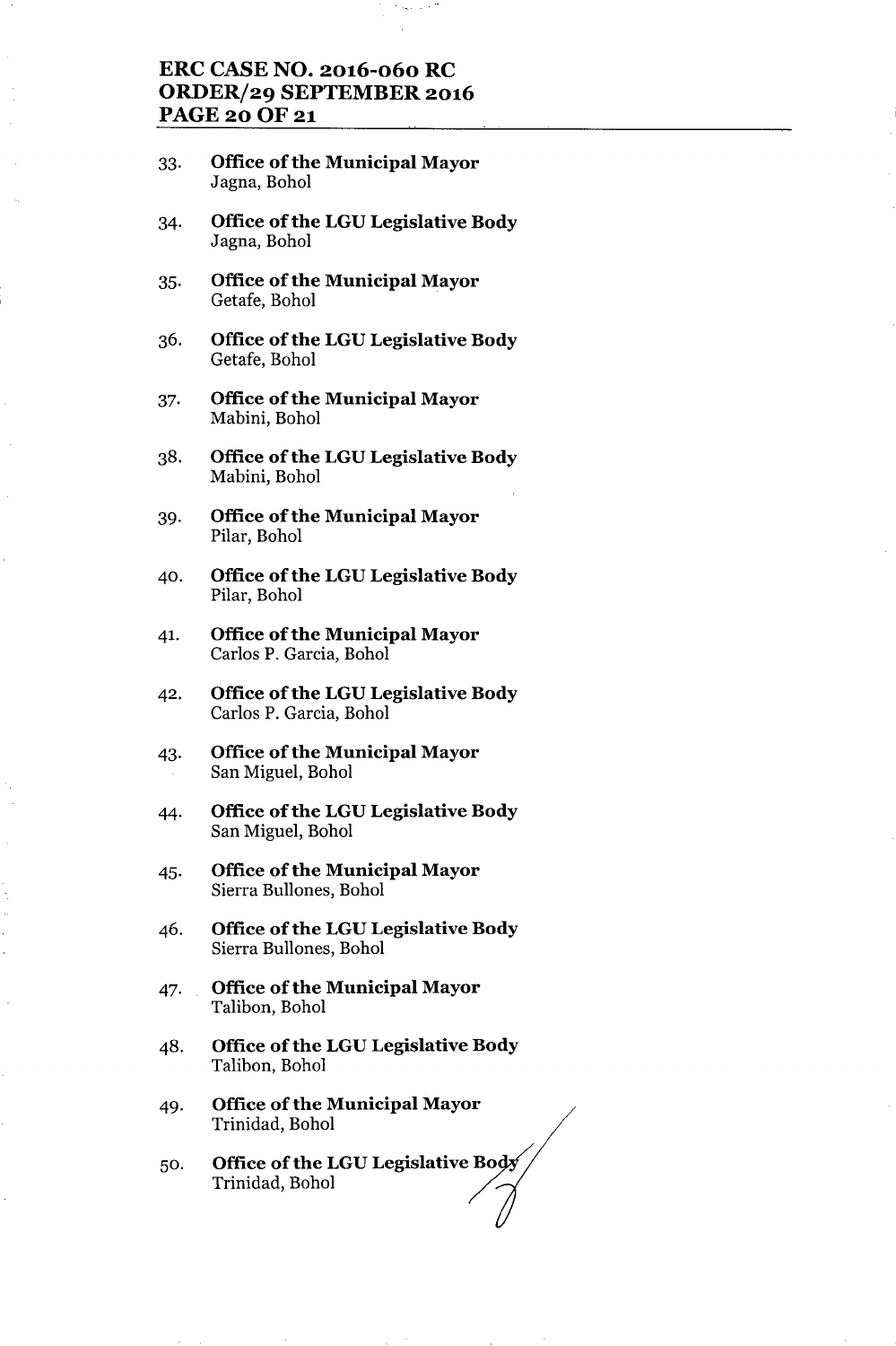## **ERC CASENO. 2016-060 RC ORDER/29 SEPTEMBER 2016 PAGE200F21**

- 33. **Office** of the **Municipal Mayor** Jagna, Bohol
- 34. **Office ofthe LGU Legislative Body** Jagna, Bohol
- 35. **Office** of the **Municipal Mayor** Getafe, Bohol
- 36. **Office of the LGU Legislative Body** Getafe, Bohol
- 37. **Office** of the **Municipal Mayor** Mabini, Bohol
- 38. **Office** of the **LGU Legislative Body** Mabini, Bohol
- 39. **Office ofthe Municipal Mayor** Pilar, Bohol
- 40. **Office** of the **LGU Legislative Body** Pilar, Bohol
- 41. **Office of the Municipal Mayor** Carlos P. Garcia, Bohol
- 42. **Office** of the **LGU Legislative Body** Carlos P. Garcia, Bohol
- 43. **Office** of the **Municipal Mayor** San Miguel, Bohol
- 44. **Office ofthe LGU Legislative Body** San Miguel, Bohol
- 45. **Office** of the **Municipal Mayor** Sierra Bullones, Bohol
- 46. **Office** of the **LGU Legislative Body** Sierra Bullones, Bohol
- 47. **Office ofthe Municipal Mayor** Talibon, Bohol
- 48. **Office of the LGU Legislative Body** Talibon, Bohol
- 49. **Office** of the **Municipal Mayor** Trinidad, Bohol
- $50.$  Office of the LGU Legislative Body Trinidad, Bohol